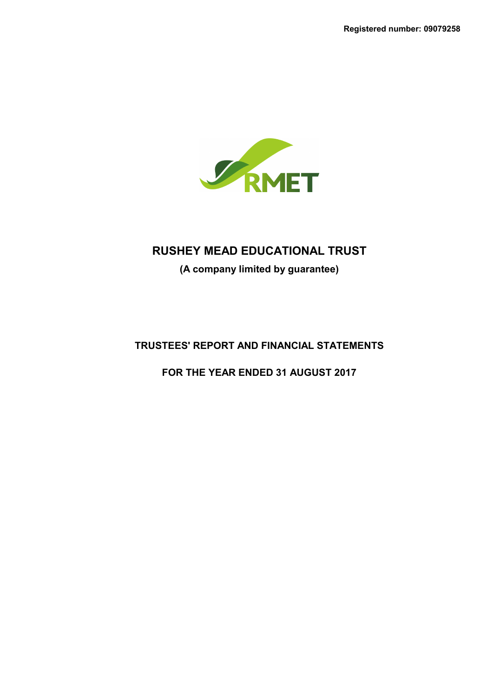

**(A company limited by guarantee)**

# **TRUSTEES' REPORT AND FINANCIAL STATEMENTS**

**FOR THE YEAR ENDED 31 AUGUST 2017**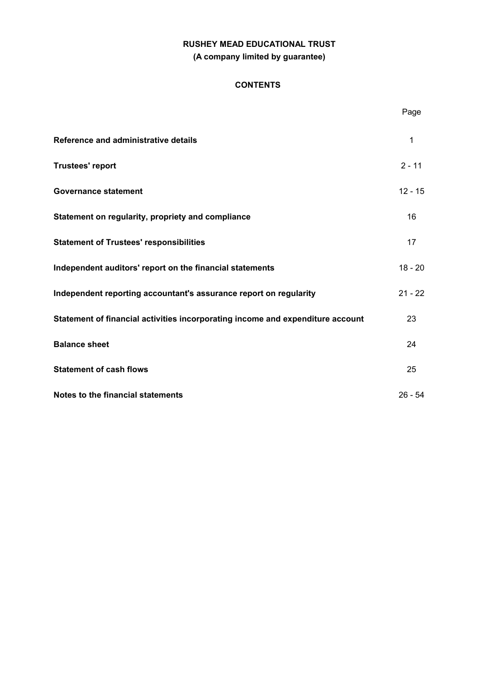# **RUSHEY MEAD EDUCATIONAL TRUST (A company limited by guarantee)**

## **CONTENTS**

|                                                                                | Page      |
|--------------------------------------------------------------------------------|-----------|
| Reference and administrative details                                           | 1         |
| <b>Trustees' report</b>                                                        | $2 - 11$  |
| <b>Governance statement</b>                                                    | $12 - 15$ |
| Statement on regularity, propriety and compliance                              | 16        |
| <b>Statement of Trustees' responsibilities</b>                                 | 17        |
| Independent auditors' report on the financial statements                       | $18 - 20$ |
| Independent reporting accountant's assurance report on regularity              | $21 - 22$ |
| Statement of financial activities incorporating income and expenditure account | 23        |
| <b>Balance sheet</b>                                                           | 24        |
| <b>Statement of cash flows</b>                                                 | 25        |
| Notes to the financial statements                                              | $26 - 54$ |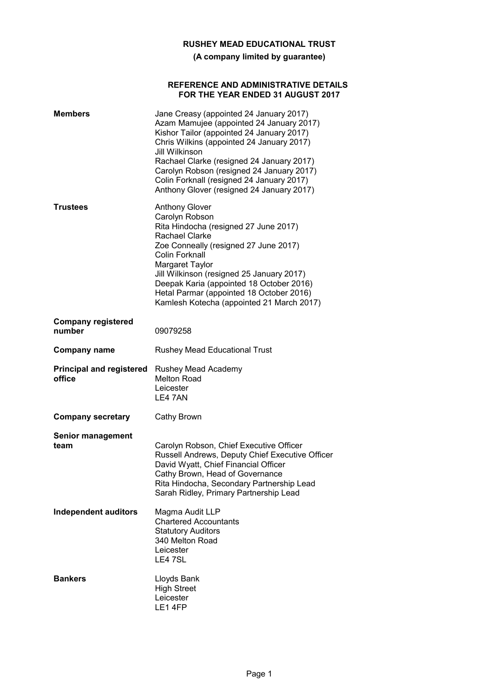**(A company limited by guarantee)**

### **REFERENCE AND ADMINISTRATIVE DETAILS FOR THE YEAR ENDED 31 AUGUST 2017**

| <b>Members</b>                            | Jane Creasy (appointed 24 January 2017)<br>Azam Mamujee (appointed 24 January 2017)<br>Kishor Tailor (appointed 24 January 2017)<br>Chris Wilkins (appointed 24 January 2017)<br>Jill Wilkinson<br>Rachael Clarke (resigned 24 January 2017)<br>Carolyn Robson (resigned 24 January 2017)<br>Colin Forknall (resigned 24 January 2017)<br>Anthony Glover (resigned 24 January 2017) |
|-------------------------------------------|-------------------------------------------------------------------------------------------------------------------------------------------------------------------------------------------------------------------------------------------------------------------------------------------------------------------------------------------------------------------------------------|
| Trustees                                  | <b>Anthony Glover</b><br>Carolyn Robson<br>Rita Hindocha (resigned 27 June 2017)<br>Rachael Clarke<br>Zoe Conneally (resigned 27 June 2017)<br>Colin Forknall<br>Margaret Taylor<br>Jill Wilkinson (resigned 25 January 2017)<br>Deepak Karia (appointed 18 October 2016)<br>Hetal Parmar (appointed 18 October 2016)<br>Kamlesh Kotecha (appointed 21 March 2017)                  |
| <b>Company registered</b><br>number       | 09079258                                                                                                                                                                                                                                                                                                                                                                            |
| <b>Company name</b>                       | Rushey Mead Educational Trust                                                                                                                                                                                                                                                                                                                                                       |
| <b>Principal and registered</b><br>office | Rushey Mead Academy<br><b>Melton Road</b><br>Leicester<br>LE4 7AN                                                                                                                                                                                                                                                                                                                   |
| <b>Company secretary</b>                  | Cathy Brown                                                                                                                                                                                                                                                                                                                                                                         |
| <b>Senior management</b><br>team          | Carolyn Robson, Chief Executive Officer<br>Russell Andrews, Deputy Chief Executive Officer<br>David Wyatt, Chief Financial Officer<br>Cathy Brown, Head of Governance<br>Rita Hindocha, Secondary Partnership Lead<br>Sarah Ridley, Primary Partnership Lead                                                                                                                        |
| <b>Independent auditors</b>               | Magma Audit LLP<br><b>Chartered Accountants</b><br><b>Statutory Auditors</b><br>340 Melton Road<br>Leicester<br>LE4 7SL                                                                                                                                                                                                                                                             |
| <b>Bankers</b>                            | Lloyds Bank<br><b>High Street</b><br>Leicester<br>LE14FP                                                                                                                                                                                                                                                                                                                            |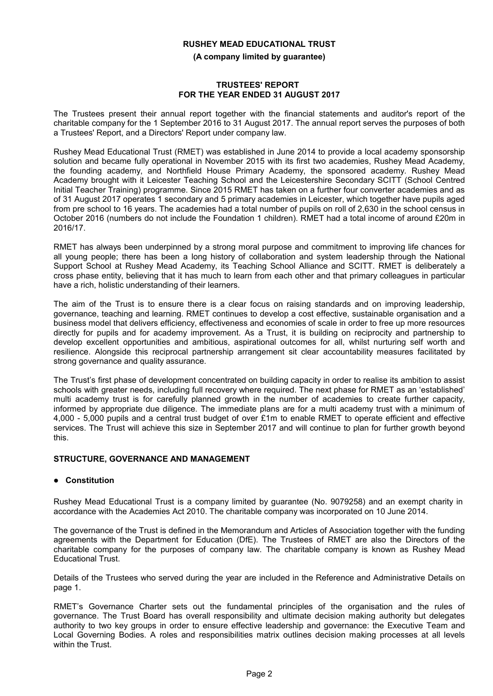**(A company limited by guarantee)**

#### **TRUSTEES' REPORT FOR THE YEAR ENDED 31 AUGUST 2017**

The Trustees present their annual report together with the financial statements and auditor's report of the charitable company for the 1 September 2016 to 31 August 2017. The annual report serves the purposes of both a Trustees' Report, and a Directors' Report under company law.

Rushey Mead Educational Trust (RMET) was established in June 2014 to provide a local academy sponsorship solution and became fully operational in November 2015 with its first two academies, Rushey Mead Academy, the founding academy, and Northfield House Primary Academy, the sponsored academy. Rushey Mead Academy brought with it Leicester Teaching School and the Leicestershire Secondary SCITT (School Centred Initial Teacher Training) programme. Since 2015 RMET has taken on a further four converter academies and as of 31 August 2017 operates 1 secondary and 5 primary academies in Leicester, which together have pupils aged from pre school to 16 years. The academies had a total number of pupils on roll of 2,630 in the school census in October 2016 (numbers do not include the Foundation 1 children). RMET had a total income of around £20m in 2016/17.

RMET has always been underpinned by a strong moral purpose and commitment to improving life chances for all young people; there has been a long history of collaboration and system leadership through the National Support School at Rushey Mead Academy, its Teaching School Alliance and SCITT. RMET is deliberately a cross phase entity, believing that it has much to learn from each other and that primary colleagues in particular have a rich, holistic understanding of their learners.

The aim of the Trust is to ensure there is a clear focus on raising standards and on improving leadership, governance, teaching and learning. RMET continues to develop a cost effective, sustainable organisation and a business model that delivers efficiency, effectiveness and economies of scale in order to free up more resources directly for pupils and for academy improvement. As a Trust, it is building on reciprocity and partnership to develop excellent opportunities and ambitious, aspirational outcomes for all, whilst nurturing self worth and resilience. Alongside this reciprocal partnership arrangement sit clear accountability measures facilitated by strong governance and quality assurance.

The Trust's first phase of development concentrated on building capacity in order to realise its ambition to assist schools with greater needs, including full recovery where required. The next phase for RMET as an 'established' multi academy trust is for carefully planned growth in the number of academies to create further capacity, informed by appropriate due diligence. The immediate plans are for a multi academy trust with a minimum of 4,000 - 5,000 pupils and a central trust budget of over £1m to enable RMET to operate efficient and effective services. The Trust will achieve this size in September 2017 and will continue to plan for further growth beyond this.

## **STRUCTURE, GOVERNANCE AND MANAGEMENT**

## **Constitution**

Rushey Mead Educational Trust is a company limited by guarantee (No. 9079258) and an exempt charity in accordance with the Academies Act 2010. The charitable company was incorporated on 10 June 2014.

The governance of the Trust is defined in the Memorandum and Articles of Association together with the funding agreements with the Department for Education (DfE). The Trustees of RMET are also the Directors of the charitable company for the purposes of company law. The charitable company is known as Rushey Mead Educational Trust.

Details of the Trustees who served during the year are included in the Reference and Administrative Details on page 1.

RMET's Governance Charter sets out the fundamental principles of the organisation and the rules of governance. The Trust Board has overall responsibility and ultimate decision making authority but delegates authority to two key groups in order to ensure effective leadership and governance: the Executive Team and Local Governing Bodies. A roles and responsibilities matrix outlines decision making processes at all levels within the Trust.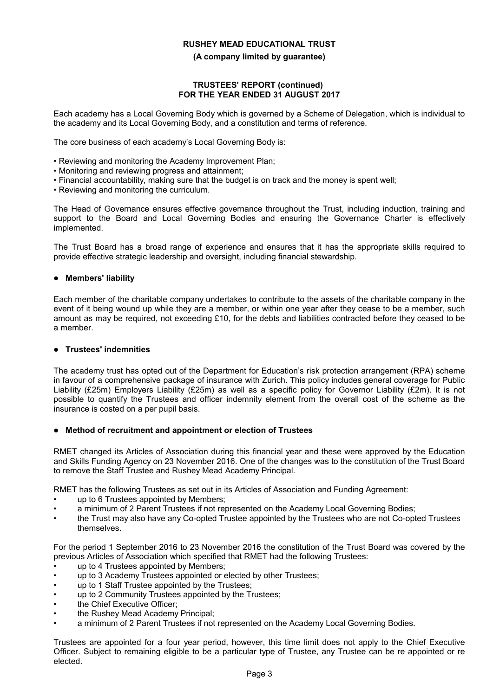#### **(A company limited by guarantee)**

#### **TRUSTEES' REPORT (continued) FOR THE YEAR ENDED 31 AUGUST 2017**

Each academy has a Local Governing Body which is governed by a Scheme of Delegation, which is individual to the academy and its Local Governing Body, and a constitution and terms of reference.

The core business of each academy's Local Governing Body is:

- Reviewing and monitoring the Academy Improvement Plan;
- Monitoring and reviewing progress and attainment;
- Financial accountability, making sure that the budget is on track and the money is spent well;
- Reviewing and monitoring the curriculum.

The Head of Governance ensures effective governance throughout the Trust, including induction, training and support to the Board and Local Governing Bodies and ensuring the Governance Charter is effectively implemented.

The Trust Board has a broad range of experience and ensures that it has the appropriate skills required to provide effective strategic leadership and oversight, including financial stewardship.

### **Members' liability**

Each member of the charitable company undertakes to contribute to the assets of the charitable company in the event of it being wound up while they are a member, or within one year after they cease to be a member, such amount as may be required, not exceeding £10, for the debts and liabilities contracted before they ceased to be a member.

## **Trustees' indemnities**

The academy trust has opted out of the Department for Education's risk protection arrangement (RPA) scheme in favour of a comprehensive package of insurance with Zurich. This policy includes general coverage for Public Liability (£25m) Employers Liability (£25m) as well as a specific policy for Governor Liability (£2m). It is not possible to quantify the Trustees and officer indemnity element from the overall cost of the scheme as the insurance is costed on a per pupil basis.

## **Method of recruitment and appointment or election of Trustees**

RMET changed its Articles of Association during this financial year and these were approved by the Education and Skills Funding Agency on 23 November 2016. One of the changes was to the constitution of the Trust Board to remove the Staff Trustee and Rushey Mead Academy Principal.

RMET has the following Trustees as set out in its Articles of Association and Funding Agreement:

- up to 6 Trustees appointed by Members:
- a minimum of 2 Parent Trustees if not represented on the Academy Local Governing Bodies;
- the Trust may also have any Co-opted Trustee appointed by the Trustees who are not Co-opted Trustees themselves.

For the period 1 September 2016 to 23 November 2016 the constitution of the Trust Board was covered by the previous Articles of Association which specified that RMET had the following Trustees:

- up to 4 Trustees appointed by Members:
- up to 3 Academy Trustees appointed or elected by other Trustees;
- up to 1 Staff Trustee appointed by the Trustees:
- up to 2 Community Trustees appointed by the Trustees;
- the Chief Executive Officer:
- the Rushey Mead Academy Principal;
- a minimum of 2 Parent Trustees if not represented on the Academy Local Governing Bodies.

Trustees are appointed for a four year period, however, this time limit does not apply to the Chief Executive Officer. Subject to remaining eligible to be a particular type of Trustee, any Trustee can be re appointed or re elected.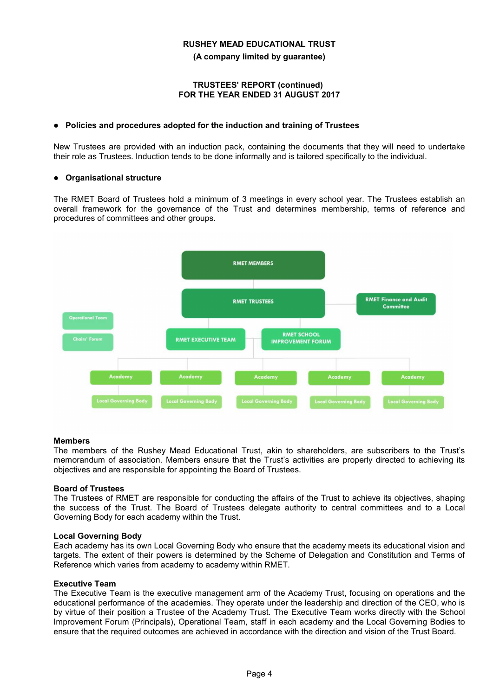**(A company limited by guarantee)**

#### **TRUSTEES' REPORT (continued) FOR THE YEAR ENDED 31 AUGUST 2017**

### **Policies and procedures adopted for the induction and training of Trustees**

New Trustees are provided with an induction pack, containing the documents that they will need to undertake their role as Trustees. Induction tends to be done informally and is tailored specifically to the individual.

### **Organisational structure**

The RMET Board of Trustees hold a minimum of 3 meetings in every school year. The Trustees establish an overall framework for the governance of the Trust and determines membership, terms of reference and procedures of committees and other groups.



#### **Members**

The members of the Rushey Mead Educational Trust, akin to shareholders, are subscribers to the Trust's memorandum of association. Members ensure that the Trust's activities are properly directed to achieving its objectives and are responsible for appointing the Board of Trustees.

#### **Board of Trustees**

The Trustees of RMET are responsible for conducting the affairs of the Trust to achieve its objectives, shaping the success of the Trust. The Board of Trustees delegate authority to central committees and to a Local Governing Body for each academy within the Trust.

#### **Local Governing Body**

Each academy has its own Local Governing Body who ensure that the academy meets its educational vision and targets. The extent of their powers is determined by the Scheme of Delegation and Constitution and Terms of Reference which varies from academy to academy within RMET.

#### **Executive Team**

The Executive Team is the executive management arm of the Academy Trust, focusing on operations and the educational performance of the academies. They operate under the leadership and direction of the CEO, who is by virtue of their position a Trustee of the Academy Trust. The Executive Team works directly with the School Improvement Forum (Principals), Operational Team, staff in each academy and the Local Governing Bodies to ensure that the required outcomes are achieved in accordance with the direction and vision of the Trust Board.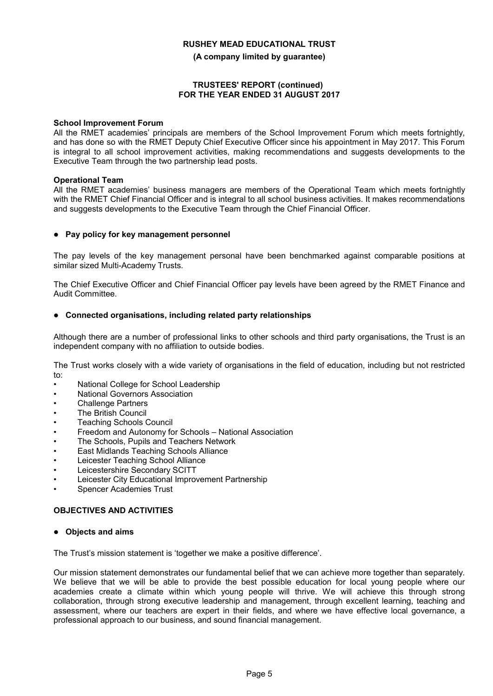**(A company limited by guarantee)**

#### **TRUSTEES' REPORT (continued) FOR THE YEAR ENDED 31 AUGUST 2017**

#### **School Improvement Forum**

All the RMET academies' principals are members of the School Improvement Forum which meets fortnightly, and has done so with the RMET Deputy Chief Executive Officer since his appointment in May 2017. This Forum is integral to all school improvement activities, making recommendations and suggests developments to the Executive Team through the two partnership lead posts.

### **Operational Team**

All the RMET academies' business managers are members of the Operational Team which meets fortnightly with the RMET Chief Financial Officer and is integral to all school business activities. It makes recommendations and suggests developments to the Executive Team through the Chief Financial Officer.

### **Pay policy for key management personnel**

The pay levels of the key management personal have been benchmarked against comparable positions at similar sized Multi-Academy Trusts.

The Chief Executive Officer and Chief Financial Officer pay levels have been agreed by the RMET Finance and Audit Committee.

### **Connected organisations, including related party relationships**

Although there are a number of professional links to other schools and third party organisations, the Trust is an independent company with no affiliation to outside bodies.

The Trust works closely with a wide variety of organisations in the field of education, including but not restricted to:

- National College for School Leadership
- National Governors Association
- Challenge Partners
- The British Council
- Teaching Schools Council
- Freedom and Autonomy for Schools National Association
- The Schools, Pupils and Teachers Network
- East Midlands Teaching Schools Alliance
- Leicester Teaching School Alliance
- Leicestershire Secondary SCITT
- Leicester City Educational Improvement Partnership
- Spencer Academies Trust

## **OBJECTIVES AND ACTIVITIES**

#### **Objects and aims**

The Trust's mission statement is 'together we make a positive difference'.

Our mission statement demonstrates our fundamental belief that we can achieve more together than separately. We believe that we will be able to provide the best possible education for local young people where our academies create a climate within which young people will thrive. We will achieve this through strong collaboration, through strong executive leadership and management, through excellent learning, teaching and assessment, where our teachers are expert in their fields, and where we have effective local governance, a professional approach to our business, and sound financial management.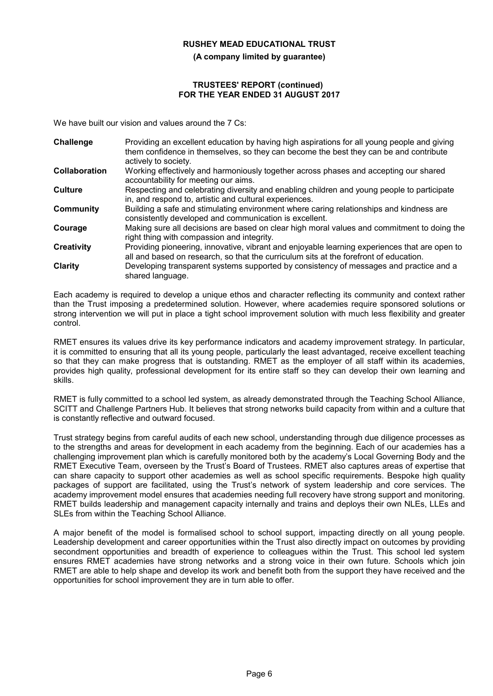**(A company limited by guarantee)**

#### **TRUSTEES' REPORT (continued) FOR THE YEAR ENDED 31 AUGUST 2017**

We have built our vision and values around the 7 Cs:

| Challenge            | Providing an excellent education by having high aspirations for all young people and giving                                                                                            |
|----------------------|----------------------------------------------------------------------------------------------------------------------------------------------------------------------------------------|
|                      | them confidence in themselves, so they can become the best they can be and contribute<br>actively to society.                                                                          |
| <b>Collaboration</b> | Working effectively and harmoniously together across phases and accepting our shared<br>accountability for meeting our aims.                                                           |
| <b>Culture</b>       | Respecting and celebrating diversity and enabling children and young people to participate<br>in, and respond to, artistic and cultural experiences.                                   |
| Community            | Building a safe and stimulating environment where caring relationships and kindness are<br>consistently developed and communication is excellent.                                      |
| Courage              | Making sure all decisions are based on clear high moral values and commitment to doing the<br>right thing with compassion and integrity.                                               |
| <b>Creativity</b>    | Providing pioneering, innovative, vibrant and enjoyable learning experiences that are open to<br>all and based on research, so that the curriculum sits at the forefront of education. |
| Clarity              | Developing transparent systems supported by consistency of messages and practice and a<br>shared language.                                                                             |

Each academy is required to develop a unique ethos and character reflecting its community and context rather than the Trust imposing a predetermined solution. However, where academies require sponsored solutions or strong intervention we will put in place a tight school improvement solution with much less flexibility and greater control.

RMET ensures its values drive its key performance indicators and academy improvement strategy. In particular, it is committed to ensuring that all its young people, particularly the least advantaged, receive excellent teaching so that they can make progress that is outstanding. RMET as the employer of all staff within its academies, provides high quality, professional development for its entire staff so they can develop their own learning and skills.

RMET is fully committed to a school led system, as already demonstrated through the Teaching School Alliance, SCITT and Challenge Partners Hub. It believes that strong networks build capacity from within and a culture that is constantly reflective and outward focused.

Trust strategy begins from careful audits of each new school, understanding through due diligence processes as to the strengths and areas for development in each academy from the beginning. Each of our academies has a challenging improvement plan which is carefully monitored both by the academy's Local Governing Body and the RMET Executive Team, overseen by the Trust's Board of Trustees. RMET also captures areas of expertise that can share capacity to support other academies as well as school specific requirements. Bespoke high quality packages of support are facilitated, using the Trust's network of system leadership and core services. The academy improvement model ensures that academies needing full recovery have strong support and monitoring. RMET builds leadership and management capacity internally and trains and deploys their own NLEs, LLEs and SLEs from within the Teaching School Alliance.

A major benefit of the model is formalised school to school support, impacting directly on all young people. Leadership development and career opportunities within the Trust also directly impact on outcomes by providing secondment opportunities and breadth of experience to colleagues within the Trust. This school led system ensures RMET academies have strong networks and a strong voice in their own future. Schools which join RMET are able to help shape and develop its work and benefit both from the support they have received and the opportunities for school improvement they are in turn able to offer.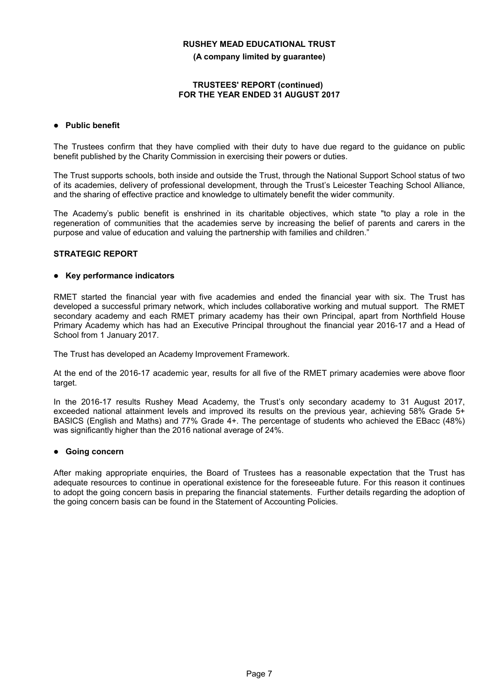**(A company limited by guarantee)**

#### **TRUSTEES' REPORT (continued) FOR THE YEAR ENDED 31 AUGUST 2017**

## **Public benefit**

The Trustees confirm that they have complied with their duty to have due regard to the guidance on public benefit published by the Charity Commission in exercising their powers or duties.

The Trust supports schools, both inside and outside the Trust, through the National Support School status of two of its academies, delivery of professional development, through the Trust's Leicester Teaching School Alliance, and the sharing of effective practice and knowledge to ultimately benefit the wider community.

The Academy's public benefit is enshrined in its charitable objectives, which state "to play a role in the regeneration of communities that the academies serve by increasing the belief of parents and carers in the purpose and value of education and valuing the partnership with families and children."

## **STRATEGIC REPORT**

### **Key performance indicators**

RMET started the financial year with five academies and ended the financial year with six. The Trust has developed a successful primary network, which includes collaborative working and mutual support. The RMET secondary academy and each RMET primary academy has their own Principal, apart from Northfield House Primary Academy which has had an Executive Principal throughout the financial year 2016-17 and a Head of School from 1 January 2017.

The Trust has developed an Academy Improvement Framework.

At the end of the 2016-17 academic year, results for all five of the RMET primary academies were above floor target.

In the 2016-17 results Rushey Mead Academy, the Trust's only secondary academy to 31 August 2017, exceeded national attainment levels and improved its results on the previous year, achieving 58% Grade 5+ BASICS (English and Maths) and 77% Grade 4+. The percentage of students who achieved the EBacc (48%) was significantly higher than the 2016 national average of 24%.

#### **Going concern**

After making appropriate enquiries, the Board of Trustees has a reasonable expectation that the Trust has adequate resources to continue in operational existence for the foreseeable future. For this reason it continues to adopt the going concern basis in preparing the financial statements. Further details regarding the adoption of the going concern basis can be found in the Statement of Accounting Policies.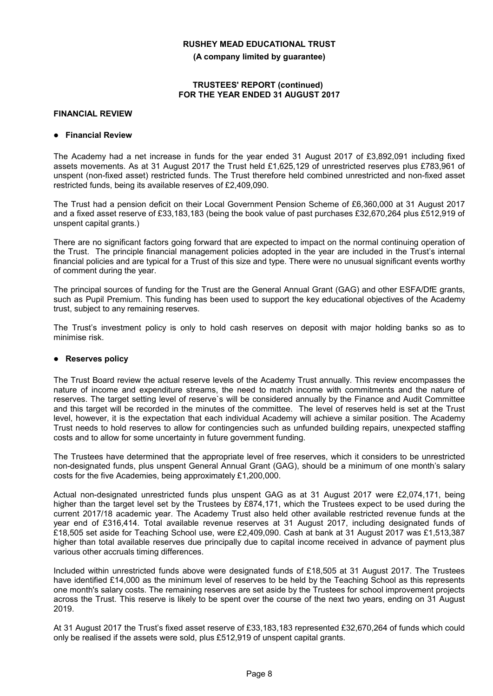**(A company limited by guarantee)**

#### **TRUSTEES' REPORT (continued) FOR THE YEAR ENDED 31 AUGUST 2017**

#### **FINANCIAL REVIEW**

#### **Financial Review**

The Academy had a net increase in funds for the year ended 31 August 2017 of £3,892,091 including fixed assets movements. As at 31 August 2017 the Trust held £1,625,129 of unrestricted reserves plus £783,961 of unspent (non-fixed asset) restricted funds. The Trust therefore held combined unrestricted and non-fixed asset restricted funds, being its available reserves of £2,409,090.

The Trust had a pension deficit on their Local Government Pension Scheme of £6,360,000 at 31 August 2017 and a fixed asset reserve of £33,183,183 (being the book value of past purchases £32,670,264 plus £512,919 of unspent capital grants.)

There are no significant factors going forward that are expected to impact on the normal continuing operation of the Trust. The principle financial management policies adopted in the year are included in the Trust's internal financial policies and are typical for a Trust of this size and type. There were no unusual significant events worthy of comment during the year.

The principal sources of funding for the Trust are the General Annual Grant (GAG) and other ESFA/DfE grants, such as Pupil Premium. This funding has been used to support the key educational objectives of the Academy trust, subject to any remaining reserves.

The Trust's investment policy is only to hold cash reserves on deposit with major holding banks so as to minimise risk.

## **Reserves policy**

The Trust Board review the actual reserve levels of the Academy Trust annually. This review encompasses the nature of income and expenditure streams, the need to match income with commitments and the nature of reserves. The target setting level of reserve`s will be considered annually by the Finance and Audit Committee and this target will be recorded in the minutes of the committee. The level of reserves held is set at the Trust level, however, it is the expectation that each individual Academy will achieve a similar position. The Academy Trust needs to hold reserves to allow for contingencies such as unfunded building repairs, unexpected staffing costs and to allow for some uncertainty in future government funding.

The Trustees have determined that the appropriate level of free reserves, which it considers to be unrestricted non-designated funds, plus unspent General Annual Grant (GAG), should be a minimum of one month's salary costs for the five Academies, being approximately £1,200,000.

Actual non-designated unrestricted funds plus unspent GAG as at 31 August 2017 were £2,074,171, being higher than the target level set by the Trustees by £874,171, which the Trustees expect to be used during the current 2017/18 academic year. The Academy Trust also held other available restricted revenue funds at the year end of £316,414. Total available revenue reserves at 31 August 2017, including designated funds of £18,505 set aside for Teaching School use, were £2,409,090. Cash at bank at 31 August 2017 was £1,513,387 higher than total available reserves due principally due to capital income received in advance of payment plus various other accruals timing differences.

Included within unrestricted funds above were designated funds of £18,505 at 31 August 2017. The Trustees have identified £14,000 as the minimum level of reserves to be held by the Teaching School as this represents one month's salary costs. The remaining reserves are set aside by the Trustees for school improvement projects across the Trust. This reserve is likely to be spent over the course of the next two years, ending on 31 August 2019.

At 31 August 2017 the Trust's fixed asset reserve of £33,183,183 represented £32,670,264 of funds which could only be realised if the assets were sold, plus £512,919 of unspent capital grants.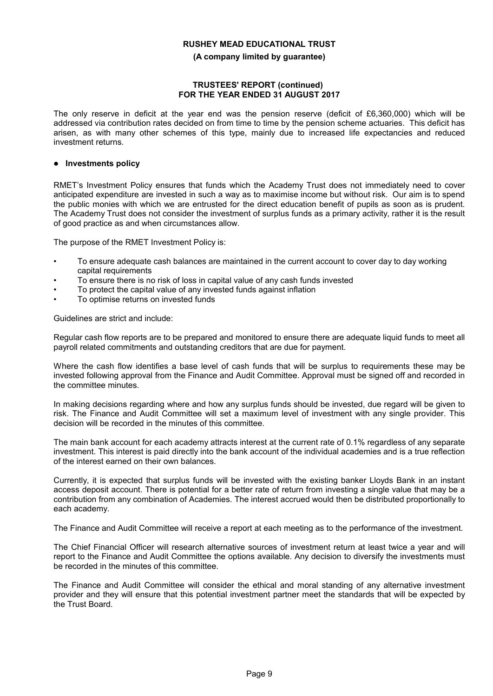#### **(A company limited by guarantee)**

#### **TRUSTEES' REPORT (continued) FOR THE YEAR ENDED 31 AUGUST 2017**

The only reserve in deficit at the year end was the pension reserve (deficit of £6,360,000) which will be addressed via contribution rates decided on from time to time by the pension scheme actuaries. This deficit has arisen, as with many other schemes of this type, mainly due to increased life expectancies and reduced investment returns.

#### **Investments policy**

RMET's Investment Policy ensures that funds which the Academy Trust does not immediately need to cover anticipated expenditure are invested in such a way as to maximise income but without risk. Our aim is to spend the public monies with which we are entrusted for the direct education benefit of pupils as soon as is prudent. The Academy Trust does not consider the investment of surplus funds as a primary activity, rather it is the result of good practice as and when circumstances allow.

The purpose of the RMET Investment Policy is:

- To ensure adequate cash balances are maintained in the current account to cover day to day working capital requirements
- To ensure there is no risk of loss in capital value of any cash funds invested
- To protect the capital value of any invested funds against inflation
- To optimise returns on invested funds

Guidelines are strict and include:

Regular cash flow reports are to be prepared and monitored to ensure there are adequate liquid funds to meet all payroll related commitments and outstanding creditors that are due for payment.

Where the cash flow identifies a base level of cash funds that will be surplus to requirements these may be invested following approval from the Finance and Audit Committee. Approval must be signed off and recorded in the committee minutes.

In making decisions regarding where and how any surplus funds should be invested, due regard will be given to risk. The Finance and Audit Committee will set a maximum level of investment with any single provider. This decision will be recorded in the minutes of this committee.

The main bank account for each academy attracts interest at the current rate of 0.1% regardless of any separate investment. This interest is paid directly into the bank account of the individual academies and is a true reflection of the interest earned on their own balances.

Currently, it is expected that surplus funds will be invested with the existing banker Lloyds Bank in an instant access deposit account. There is potential for a better rate of return from investing a single value that may be a contribution from any combination of Academies. The interest accrued would then be distributed proportionally to each academy.

The Finance and Audit Committee will receive a report at each meeting as to the performance of the investment.

The Chief Financial Officer will research alternative sources of investment return at least twice a year and will report to the Finance and Audit Committee the options available. Any decision to diversify the investments must be recorded in the minutes of this committee.

The Finance and Audit Committee will consider the ethical and moral standing of any alternative investment provider and they will ensure that this potential investment partner meet the standards that will be expected by .<br>the Trust Board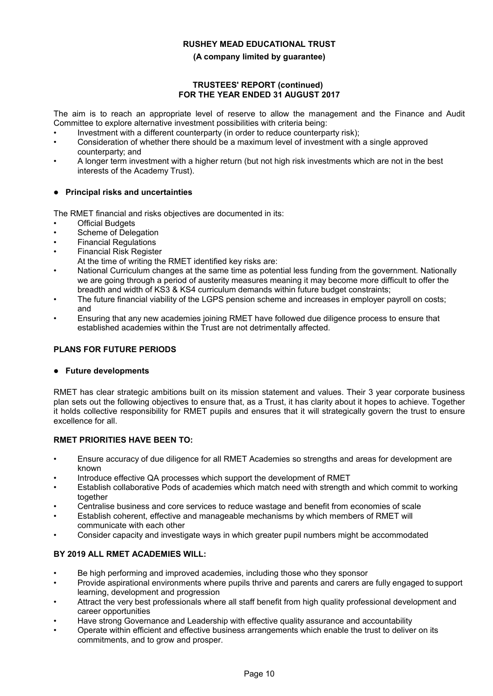## **(A company limited by guarantee)**

### **TRUSTEES' REPORT (continued) FOR THE YEAR ENDED 31 AUGUST 2017**

The aim is to reach an appropriate level of reserve to allow the management and the Finance and Audit Committee to explore alternative investment possibilities with criteria being:

- Investment with a different counterparty (in order to reduce counterparty risk);
- Consideration of whether there should be a maximum level of investment with a single approved counterparty; and
- A longer term investment with a higher return (but not high risk investments which are not in the best interests of the Academy Trust).

## **Principal risks and uncertainties**

The RMET financial and risks objectives are documented in its:

- **Official Budgets**
- Scheme of Delegation
- Financial Regulations
- Financial Risk Register
	- At the time of writing the RMET identified key risks are:
- National Curriculum changes at the same time as potential less funding from the government. Nationally we are going through a period of austerity measures meaning it may become more difficult to offer the breadth and width of KS3 & KS4 curriculum demands within future budget constraints;
- The future financial viability of the LGPS pension scheme and increases in employer payroll on costs; and
- Ensuring that any new academies joining RMET have followed due diligence process to ensure that established academies within the Trust are not detrimentally affected.

## **PLANS FOR FUTURE PERIODS**

## **Future developments**

RMET has clear strategic ambitions built on its mission statement and values. Their 3 year corporate business plan sets out the following objectives to ensure that, as a Trust, it has clarity about it hopes to achieve. Together it holds collective responsibility for RMET pupils and ensures that it will strategically govern the trust to ensure excellence for all.

## **RMET PRIORITIES HAVE BEEN TO:**

- Ensure accuracy of due diligence for all RMET Academies so strengths and areas for development are known
- Introduce effective QA processes which support the development of RMET
- Establish collaborative Pods of academies which match need with strength and which commit to working together
- Centralise business and core services to reduce wastage and benefit from economies of scale
- Establish coherent, effective and manageable mechanisms by which members of RMET will communicate with each other
- Consider capacity and investigate ways in which greater pupil numbers might be accommodated

## **BY 2019 ALL RMET ACADEMIES WILL:**

- Be high performing and improved academies, including those who they sponsor
- Provide aspirational environments where pupils thrive and parents and carers are fully engaged to support learning, development and progression
- Attract the very best professionals where all staff benefit from high quality professional development and career opportunities
- Have strong Governance and Leadership with effective quality assurance and accountability
- Operate within efficient and effective business arrangements which enable the trust to deliver on its commitments, and to grow and prosper.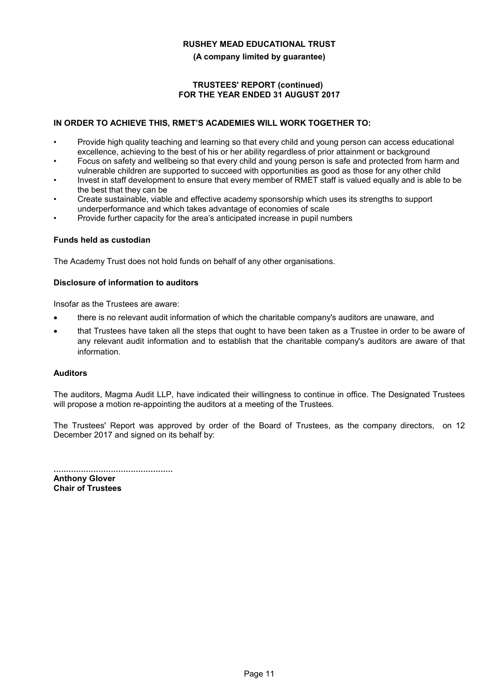#### **(A company limited by guarantee)**

### **TRUSTEES' REPORT (continued) FOR THE YEAR ENDED 31 AUGUST 2017**

## **IN ORDER TO ACHIEVE THIS, RMET'S ACADEMIES WILL WORK TOGETHER TO:**

- Provide high quality teaching and learning so that every child and young person can access educational excellence, achieving to the best of his or her ability regardless of prior attainment or background
- Focus on safety and wellbeing so that every child and young person is safe and protected from harm and vulnerable children are supported to succeed with opportunities as good as those for any other child
- Invest in staff development to ensure that every member of RMET staff is valued equally and is able to be the best that they can be
- Create sustainable, viable and effective academy sponsorship which uses its strengths to support underperformance and which takes advantage of economies of scale
- Provide further capacity for the area's anticipated increase in pupil numbers

### **Funds held as custodian**

The Academy Trust does not hold funds on behalf of any other organisations.

### **Disclosure of information to auditors**

Insofar as the Trustees are aware:

- there is no relevant audit information of which the charitable company's auditors are unaware, and
- that Trustees have taken all the steps that ought to have been taken as a Trustee in order to be aware of any relevant audit information and to establish that the charitable company's auditors are aware of that information.

## **Auditors**

The auditors, Magma Audit LLP, have indicated their willingness to continue in office. The Designated Trustees will propose a motion re-appointing the auditors at a meeting of the Trustees.

The Trustees' Report was approved by order of the Board of Trustees, as the company directors, on 12 December 2017 and signed on its behalf by:

................................................ **Anthony Glover Chair of Trustees**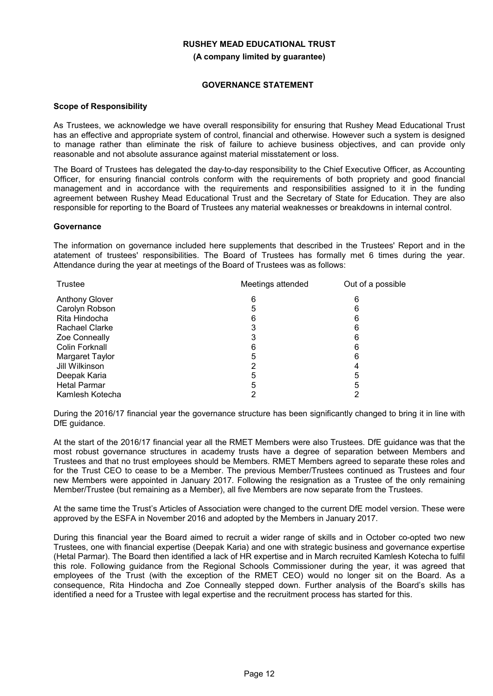**(A company limited by guarantee)**

### **GOVERNANCE STATEMENT**

#### **Scope of Responsibility**

As Trustees, we acknowledge we have overall responsibility for ensuring that Rushey Mead Educational Trust has an effective and appropriate system of control, financial and otherwise. However such a system is designed to manage rather than eliminate the risk of failure to achieve business objectives, and can provide only reasonable and not absolute assurance against material misstatement or loss.

The Board of Trustees has delegated the day-to-day responsibility to the Chief Executive Officer, as Accounting Officer, for ensuring financial controls conform with the requirements of both propriety and good financial management and in accordance with the requirements and responsibilities assigned to it in the funding agreement between Rushey Mead Educational Trust and the Secretary of State for Education. They are also responsible for reporting to the Board of Trustees any material weaknesses or breakdowns in internal control.

### **Governance**

The information on governance included here supplements that described in the Trustees' Report and in the atatement of trustees' responsibilities. The Board of Trustees has formally met 6 times during the year. Attendance during the year at meetings of the Board of Trustees was as follows:

| <b>Trustee</b>        | Meetings attended | Out of a possible |
|-----------------------|-------------------|-------------------|
| <b>Anthony Glover</b> | 6                 | 6                 |
| Carolyn Robson        | 5                 | 6                 |
| Rita Hindocha         | 6                 | 6                 |
| <b>Rachael Clarke</b> |                   | 6                 |
| <b>Zoe Conneally</b>  |                   | 6                 |
| Colin Forknall        | 6                 | 6                 |
| Margaret Taylor       | 5                 | 6                 |
| Jill Wilkinson        |                   |                   |
| Deepak Karia          | 5                 | 5                 |
| <b>Hetal Parmar</b>   | 5                 | 5                 |
| Kamlesh Kotecha       |                   |                   |

During the 2016/17 financial year the governance structure has been significantly changed to bring it in line with DfE guidance.

At the start of the 2016/17 financial year all the RMET Members were also Trustees. DfE guidance was that the most robust governance structures in academy trusts have a degree of separation between Members and Trustees and that no trust employees should be Members. RMET Members agreed to separate these roles and for the Trust CEO to cease to be a Member. The previous Member/Trustees continued as Trustees and four new Members were appointed in January 2017. Following the resignation as a Trustee of the only remaining Member/Trustee (but remaining as a Member), all five Members are now separate from the Trustees.

At the same time the Trust's Articles of Association were changed to the current DfE model version. These were approved by the ESFA in November 2016 and adopted by the Members in January 2017.

During this financial year the Board aimed to recruit a wider range of skills and in October co-opted two new Trustees, one with financial expertise (Deepak Karia) and one with strategic business and governance expertise (Hetal Parmar). The Board then identified a lack of HR expertise and in March recruited Kamlesh Kotecha to fulfil this role. Following guidance from the Regional Schools Commissioner during the year, it was agreed that employees of the Trust (with the exception of the RMET CEO) would no longer sit on the Board. As a consequence, Rita Hindocha and Zoe Conneally stepped down. Further analysis of the Board's skills has identified a need for a Trustee with legal expertise and the recruitment process has started for this.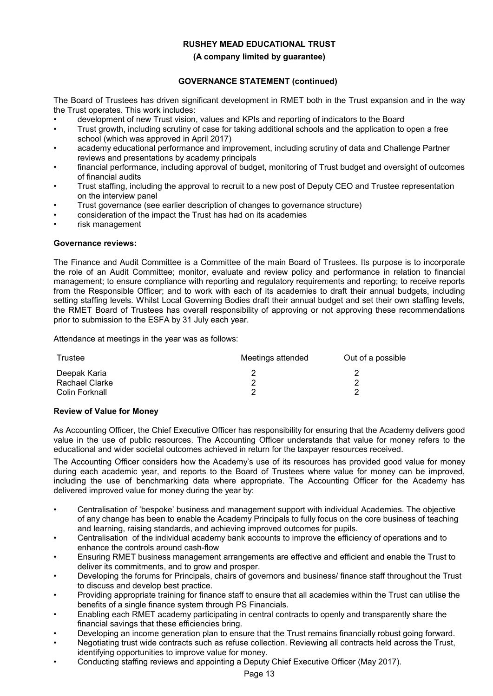#### **(A company limited by guarantee)**

## **GOVERNANCE STATEMENT (continued)**

The Board of Trustees has driven significant development in RMET both in the Trust expansion and in the way the Trust operates. This work includes:

- development of new Trust vision, values and KPIs and reporting of indicators to the Board
- Trust growth, including scrutiny of case for taking additional schools and the application to open a free school (which was approved in April 2017)
- academy educational performance and improvement, including scrutiny of data and Challenge Partner reviews and presentations by academy principals
- financial performance, including approval of budget, monitoring of Trust budget and oversight of outcomes of financial audits
- Trust staffing, including the approval to recruit to a new post of Deputy CEO and Trustee representation on the interview panel
- Trust governance (see earlier description of changes to governance structure)
- consideration of the impact the Trust has had on its academies
- risk management

#### **Governance reviews:**

The Finance and Audit Committee is a Committee of the main Board of Trustees. Its purpose is to incorporate the role of an Audit Committee; monitor, evaluate and review policy and performance in relation to financial management; to ensure compliance with reporting and regulatory requirements and reporting; to receive reports from the Responsible Officer; and to work with each of its academies to draft their annual budgets, including setting staffing levels. Whilst Local Governing Bodies draft their annual budget and set their own staffing levels, the RMET Board of Trustees has overall responsibility of approving or not approving these recommendations prior to submission to the ESFA by 31 July each year.

Attendance at meetings in the year was as follows:

| Trustee        | Meetings attended | Out of a possible |
|----------------|-------------------|-------------------|
| Deepak Karia   |                   |                   |
| Rachael Clarke |                   |                   |
| Colin Forknall |                   |                   |

#### **Review of Value for Money**

As Accounting Officer, the Chief Executive Officer has responsibility for ensuring that the Academy delivers good value in the use of public resources. The Accounting Officer understands that value for money refers to the educational and wider societal outcomes achieved in return for the taxpayer resources received.

The Accounting Officer considers how the Academy's use of its resources has provided good value for money during each academic year, and reports to the Board of Trustees where value for money can be improved, including the use of benchmarking data where appropriate. The Accounting Officer for the Academy has delivered improved value for money during the year by:

- Centralisation of 'bespoke' business and management support with individual Academies. The objective of any change has been to enable the Academy Principals to fully focus on the core business of teaching and learning, raising standards, and achieving improved outcomes for pupils.
- Centralisation of the individual academy bank accounts to improve the efficiency of operations and to enhance the controls around cash-flow
- Ensuring RMET business management arrangements are effective and efficient and enable the Trust to deliver its commitments, and to grow and prosper.
- Developing the forums for Principals, chairs of governors and business/ finance staff throughout the Trust to discuss and develop best practice.
- Providing appropriate training for finance staff to ensure that all academies within the Trust can utilise the benefits of a single finance system through PS Financials.
- Enabling each RMET academy participating in central contracts to openly and transparently share the financial savings that these efficiencies bring.
- Developing an income generation plan to ensure that the Trust remains financially robust going forward.
- Negotiating trust wide contracts such as refuse collection. Reviewing all contracts held across the Trust, identifying opportunities to improve value for money.
- Conducting staffing reviews and appointing a Deputy Chief Executive Officer (May 2017).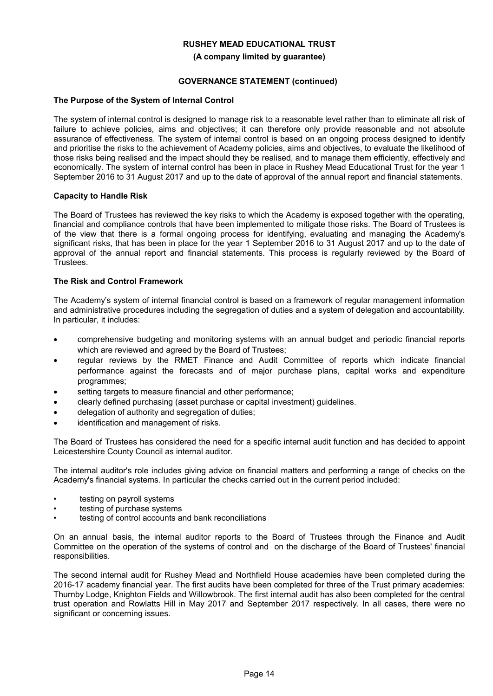#### **(A company limited by guarantee)**

## **GOVERNANCE STATEMENT (continued)**

### **The Purpose of the System of Internal Control**

The system of internal control is designed to manage risk to a reasonable level rather than to eliminate all risk of failure to achieve policies, aims and objectives; it can therefore only provide reasonable and not absolute assurance of effectiveness. The system of internal control is based on an ongoing process designed to identify and prioritise the risks to the achievement of Academy policies, aims and objectives, to evaluate the likelihood of those risks being realised and the impact should they be realised, and to manage them efficiently, effectively and economically. The system of internal control has been in place in Rushey Mead Educational Trust for the year 1 September 2016 to 31 August 2017 and up to the date of approval of the annual report and financial statements.

### **Capacity to Handle Risk**

The Board of Trustees has reviewed the key risks to which the Academy is exposed together with the operating, financial and compliance controls that have been implemented to mitigate those risks. The Board of Trustees is of the view that there is a formal ongoing process for identifying, evaluating and managing the Academy's significant risks, that has been in place for the year 1 September 2016 to 31 August 2017 and up to the date of approval of the annual report and financial statements. This process is regularly reviewed by the Board of Trustees.

### **The Risk and Control Framework**

The Academy's system of internal financial control is based on a framework of regular management information and administrative procedures including the segregation of duties and a system of delegation and accountability. In particular, it includes:

- comprehensive budgeting and monitoring systems with an annual budget and periodic financial reports which are reviewed and agreed by the Board of Trustees;
- regular reviews by the RMET Finance and Audit Committee of reports which indicate financial performance against the forecasts and of major purchase plans, capital works and expenditure programmes;
- setting targets to measure financial and other performance;
- clearly defined purchasing (asset purchase or capital investment) guidelines.
- delegation of authority and segregation of duties;
- identification and management of risks.

The Board of Trustees has considered the need for a specific internal audit function and has decided to appoint Leicestershire County Council as internal auditor.

The internal auditor's role includes giving advice on financial matters and performing a range of checks on the Academy's financial systems. In particular the checks carried out in the current period included:

- testing on payroll systems
- testing of purchase systems
- testing of control accounts and bank reconciliations

On an annual basis, the internal auditor reports to the Board of Trustees through the Finance and Audit Committee on the operation of the systems of control and on the discharge of the Board of Trustees' financial responsibilities.

The second internal audit for Rushey Mead and Northfield House academies have been completed during the 2016-17 academy financial year. The first audits have been completed for three of the Trust primary academies: Thurnby Lodge, Knighton Fields and Willowbrook. The first internal audit has also been completed for the central trust operation and Rowlatts Hill in May 2017 and September 2017 respectively. In all cases, there were no significant or concerning issues.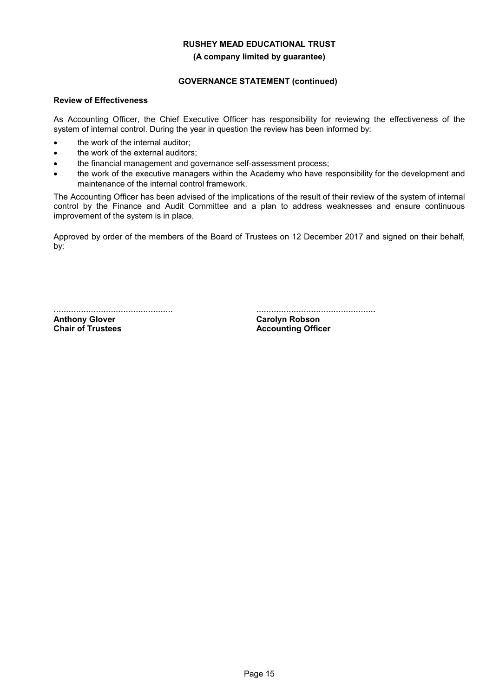#### **(A company limited by guarantee)**

## **GOVERNANCE STATEMENT (continued)**

## **Review of Effectiveness**

As Accounting Officer, the Chief Executive Officer has responsibility for reviewing the effectiveness of the system of internal control. During the year in question the review has been informed by:

- the work of the internal auditor;
- the work of the external auditors;
- the financial management and governance self-assessment process;
- the work of the executive managers within the Academy who have responsibility for the development and maintenance of the internal control framework.

The Accounting Officer has been advised of the implications of the result of their review of the system of internal control by the Finance and Audit Committee and a plan to address weaknesses and ensure continuous improvement of the system is in place.

Approved by order of the members of the Board of Trustees on 12 December 2017 and signed on their behalf, by:

................................................ **Anthony Glover Chair of Trustees**

................................................

**Carolyn Robson Accounting Officer**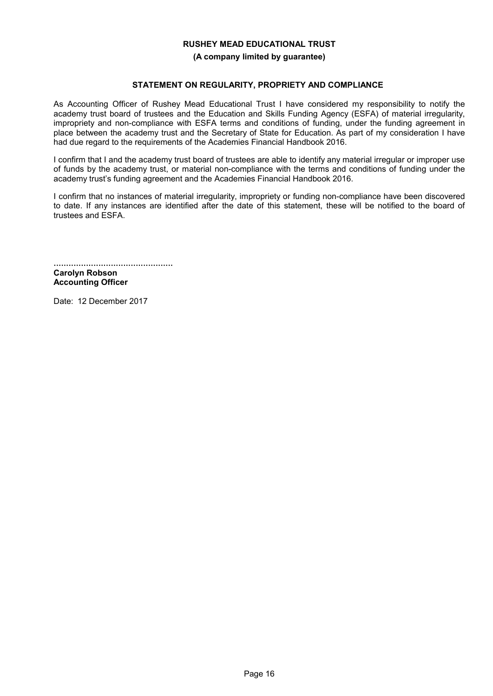#### **(A company limited by guarantee)**

#### **STATEMENT ON REGULARITY, PROPRIETY AND COMPLIANCE**

As Accounting Officer of Rushey Mead Educational Trust I have considered my responsibility to notify the academy trust board of trustees and the Education and Skills Funding Agency (ESFA) of material irregularity, impropriety and non-compliance with ESFA terms and conditions of funding, under the funding agreement in place between the academy trust and the Secretary of State for Education. As part of my consideration I have had due regard to the requirements of the Academies Financial Handbook 2016.

I confirm that I and the academy trust board of trustees are able to identify any material irregular or improper use of funds by the academy trust, or material non-compliance with the terms and conditions of funding under the academy trust's funding agreement and the Academies Financial Handbook 2016.

I confirm that no instances of material irregularity, impropriety or funding non-compliance have been discovered to date. If any instances are identified after the date of this statement, these will be notified to the board of trustees and ESFA.

................................................ **Carolyn Robson Accounting Officer**

Date: 12 December 2017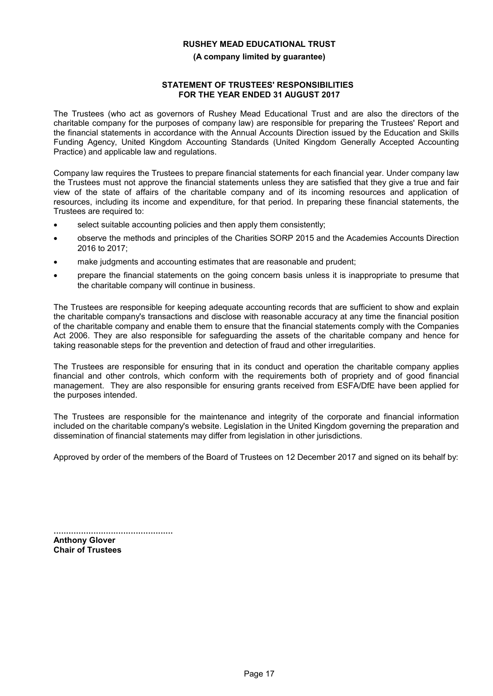#### **(A company limited by guarantee)**

#### **STATEMENT OF TRUSTEES' RESPONSIBILITIES FOR THE YEAR ENDED 31 AUGUST 2017**

The Trustees (who act as governors of Rushey Mead Educational Trust and are also the directors of the charitable company for the purposes of company law) are responsible for preparing the Trustees' Report and the financial statements in accordance with the Annual Accounts Direction issued by the Education and Skills Funding Agency, United Kingdom Accounting Standards (United Kingdom Generally Accepted Accounting Practice) and applicable law and regulations.

Company law requires the Trustees to prepare financial statements for each financial year. Under company law the Trustees must not approve the financial statements unless they are satisfied that they give a true and fair view of the state of affairs of the charitable company and of its incoming resources and application of resources, including its income and expenditure, for that period. In preparing these financial statements, the Trustees are required to:

- select suitable accounting policies and then apply them consistently;
- observe the methods and principles of the Charities SORP 2015 and the Academies Accounts Direction 2016 to 2017;
- make judgments and accounting estimates that are reasonable and prudent;
- prepare the financial statements on the going concern basis unless it is inappropriate to presume that the charitable company will continue in business.

The Trustees are responsible for keeping adequate accounting records that are sufficient to show and explain the charitable company's transactions and disclose with reasonable accuracy at any time the financial position of the charitable company and enable them to ensure that the financial statements comply with the Companies Act 2006. They are also responsible for safeguarding the assets of the charitable company and hence for taking reasonable steps for the prevention and detection of fraud and other irregularities.

The Trustees are responsible for ensuring that in its conduct and operation the charitable company applies financial and other controls, which conform with the requirements both of propriety and of good financial management. They are also responsible for ensuring grants received from ESFA/DfE have been applied for the purposes intended.

The Trustees are responsible for the maintenance and integrity of the corporate and financial information included on the charitable company's website. Legislation in the United Kingdom governing the preparation and dissemination of financial statements may differ from legislation in other jurisdictions.

Approved by order of the members of the Board of Trustees on 12 December 2017 and signed on its behalf by:

................................................ **Anthony Glover Chair of Trustees**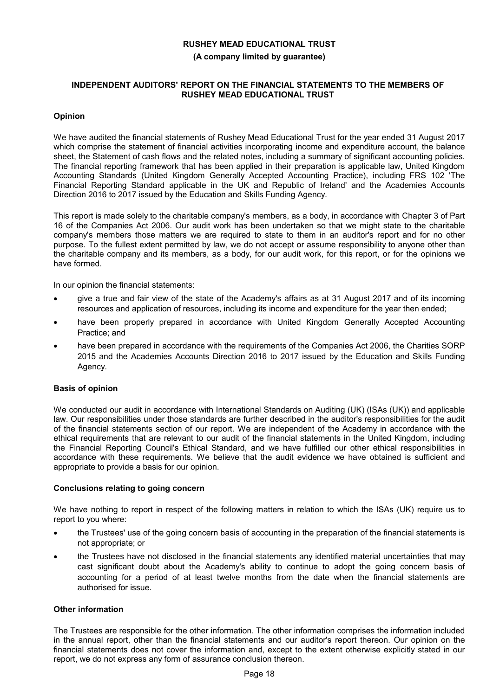#### **(A company limited by guarantee)**

### **INDEPENDENT AUDITORS' REPORT ON THE FINANCIAL STATEMENTS TO THE MEMBERS OF RUSHEY MEAD EDUCATIONAL TRUST**

## **Opinion**

We have audited the financial statements of Rushey Mead Educational Trust for the year ended 31 August 2017 which comprise the statement of financial activities incorporating income and expenditure account, the balance sheet, the Statement of cash flows and the related notes, including a summary of significant accounting policies. The financial reporting framework that has been applied in their preparation is applicable law, United Kingdom Accounting Standards (United Kingdom Generally Accepted Accounting Practice), including FRS 102 'The Financial Reporting Standard applicable in the UK and Republic of Ireland' and the Academies Accounts Direction 2016 to 2017 issued by the Education and Skills Funding Agency.

This report is made solely to the charitable company's members, as a body, in accordance with Chapter 3 of Part 16 of the Companies Act 2006. Our audit work has been undertaken so that we might state to the charitable company's members those matters we are required to state to them in an auditor's report and for no other purpose. To the fullest extent permitted by law, we do not accept or assume responsibility to anyone other than the charitable company and its members, as a body, for our audit work, for this report, or for the opinions we have formed.

In our opinion the financial statements:

- give a true and fair view of the state of the Academy's affairs as at 31 August 2017 and of its incoming resources and application of resources, including its income and expenditure for the year then ended;
- have been properly prepared in accordance with United Kingdom Generally Accepted Accounting Practice; and
- have been prepared in accordance with the requirements of the Companies Act 2006, the Charities SORP 2015 and the Academies Accounts Direction 2016 to 2017 issued by the Education and Skills Funding Agency.

## **Basis of opinion**

We conducted our audit in accordance with International Standards on Auditing (UK) (ISAs (UK)) and applicable law. Our responsibilities under those standards are further described in the auditor's responsibilities for the audit of the financial statements section of our report. We are independent of the Academy in accordance with the ethical requirements that are relevant to our audit of the financial statements in the United Kingdom, including the Financial Reporting Council's Ethical Standard, and we have fulfilled our other ethical responsibilities in accordance with these requirements. We believe that the audit evidence we have obtained is sufficient and appropriate to provide a basis for our opinion.

## **Conclusions relating to going concern**

We have nothing to report in respect of the following matters in relation to which the ISAs (UK) require us to report to you where:

- the Trustees' use of the going concern basis of accounting in the preparation of the financial statements is not appropriate; or
- the Trustees have not disclosed in the financial statements any identified material uncertainties that may cast significant doubt about the Academy's ability to continue to adopt the going concern basis of accounting for a period of at least twelve months from the date when the financial statements are authorised for issue.

## **Other information**

The Trustees are responsible for the other information. The other information comprises the information included in the annual report, other than the financial statements and our auditor's report thereon. Our opinion on the financial statements does not cover the information and, except to the extent otherwise explicitly stated in our report, we do not express any form of assurance conclusion thereon.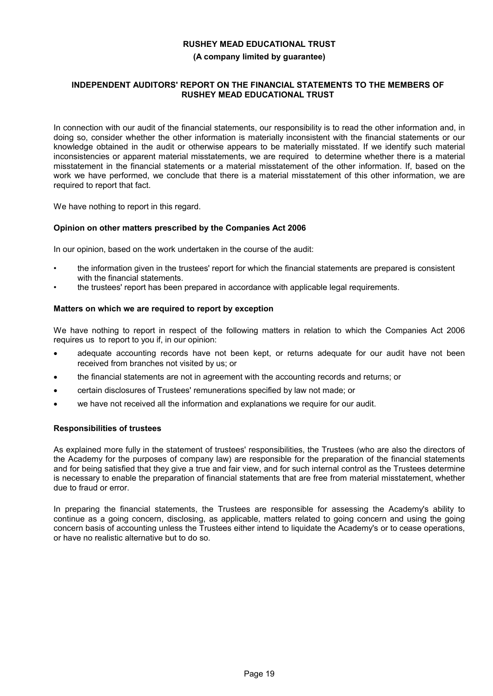### **(A company limited by guarantee)**

## **INDEPENDENT AUDITORS' REPORT ON THE FINANCIAL STATEMENTS TO THE MEMBERS OF RUSHEY MEAD EDUCATIONAL TRUST**

In connection with our audit of the financial statements, our responsibility is to read the other information and, in doing so, consider whether the other information is materially inconsistent with the financial statements or our knowledge obtained in the audit or otherwise appears to be materially misstated. If we identify such material inconsistencies or apparent material misstatements, we are required to determine whether there is a material misstatement in the financial statements or a material misstatement of the other information. If, based on the work we have performed, we conclude that there is a material misstatement of this other information, we are required to report that fact.

We have nothing to report in this regard.

### **Opinion on other matters prescribed by the Companies Act 2006**

In our opinion, based on the work undertaken in the course of the audit:

- the information given in the trustees' report for which the financial statements are prepared is consistent with the financial statements.
- the trustees' report has been prepared in accordance with applicable legal requirements.

### **Matters on which we are required to report by exception**

We have nothing to report in respect of the following matters in relation to which the Companies Act 2006 requires us to report to you if, in our opinion:

- adequate accounting records have not been kept, or returns adequate for our audit have not been received from branches not visited by us; or
- the financial statements are not in agreement with the accounting records and returns; or
- certain disclosures of Trustees' remunerations specified by law not made; or
- we have not received all the information and explanations we require for our audit.

#### **Responsibilities of trustees**

As explained more fully in the statement of trustees' responsibilities, the Trustees (who are also the directors of the Academy for the purposes of company law) are responsible for the preparation of the financial statements and for being satisfied that they give a true and fair view, and for such internal control as the Trustees determine is necessary to enable the preparation of financial statements that are free from material misstatement, whether due to fraud or error.

In preparing the financial statements, the Trustees are responsible for assessing the Academy's ability to continue as a going concern, disclosing, as applicable, matters related to going concern and using the going concern basis of accounting unless the Trustees either intend to liquidate the Academy's or to cease operations, or have no realistic alternative but to do so.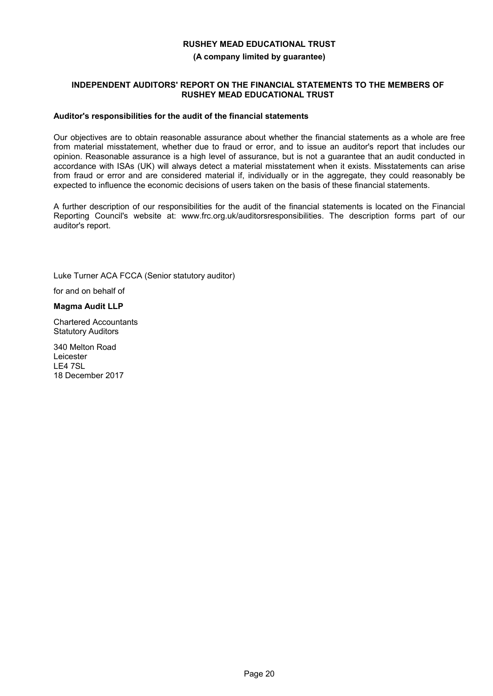#### **(A company limited by guarantee)**

### **INDEPENDENT AUDITORS' REPORT ON THE FINANCIAL STATEMENTS TO THE MEMBERS OF RUSHEY MEAD EDUCATIONAL TRUST**

#### **Auditor's responsibilities for the audit of the financial statements**

Our objectives are to obtain reasonable assurance about whether the financial statements as a whole are free from material misstatement, whether due to fraud or error, and to issue an auditor's report that includes our opinion. Reasonable assurance is a high level of assurance, but is not a guarantee that an audit conducted in accordance with ISAs (UK) will always detect a material misstatement when it exists. Misstatements can arise from fraud or error and are considered material if, individually or in the aggregate, they could reasonably be expected to influence the economic decisions of users taken on the basis of these financial statements.

A further description of our responsibilities for the audit of the financial statements is located on the Financial Reporting Council's website at: www.frc.org.uk/auditorsresponsibilities. The description forms part of our auditor's report.

Luke Turner ACA FCCA (Senior statutory auditor)

for and on behalf of

**Magma Audit LLP**

Chartered Accountants Statutory Auditors

340 Melton Road Leicester LE4 7SL 18 December 2017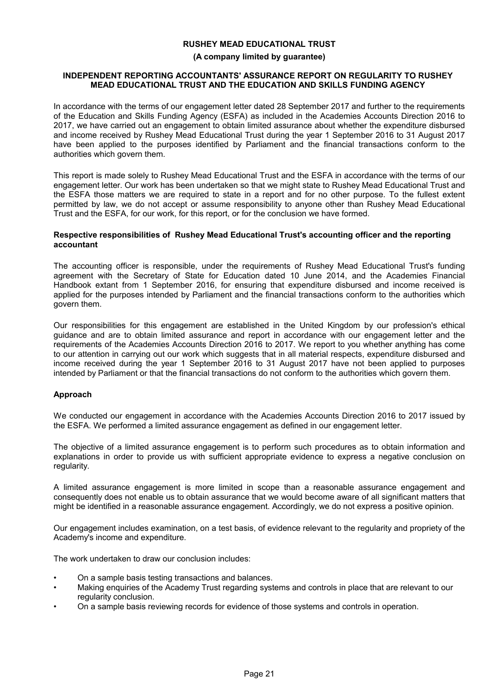#### **(A company limited by guarantee)**

#### **INDEPENDENT REPORTING ACCOUNTANTS' ASSURANCE REPORT ON REGULARITY TO RUSHEY MEAD EDUCATIONAL TRUST AND THE EDUCATION AND SKILLS FUNDING AGENCY**

In accordance with the terms of our engagement letter dated 28 September 2017 and further to the requirements of the Education and Skills Funding Agency (ESFA) as included in the Academies Accounts Direction 2016 to 2017, we have carried out an engagement to obtain limited assurance about whether the expenditure disbursed and income received by Rushey Mead Educational Trust during the year 1 September 2016 to 31 August 2017 have been applied to the purposes identified by Parliament and the financial transactions conform to the authorities which govern them.

This report is made solely to Rushey Mead Educational Trust and the ESFA in accordance with the terms of our engagement letter. Our work has been undertaken so that we might state to Rushey Mead Educational Trust and the ESFA those matters we are required to state in a report and for no other purpose. To the fullest extent permitted by law, we do not accept or assume responsibility to anyone other than Rushey Mead Educational Trust and the ESFA, for our work, for this report, or for the conclusion we have formed.

#### **Respective responsibilities of Rushey Mead Educational Trust's accounting officer and the reporting accountant**

The accounting officer is responsible, under the requirements of Rushey Mead Educational Trust's funding agreement with the Secretary of State for Education dated 10 June 2014, and the Academies Financial Handbook extant from 1 September 2016, for ensuring that expenditure disbursed and income received is applied for the purposes intended by Parliament and the financial transactions conform to the authorities which govern them.

Our responsibilities for this engagement are established in the United Kingdom by our profession's ethical guidance and are to obtain limited assurance and report in accordance with our engagement letter and the requirements of the Academies Accounts Direction 2016 to 2017. We report to you whether anything has come to our attention in carrying out our work which suggests that in all material respects, expenditure disbursed and income received during the year 1 September 2016 to 31 August 2017 have not been applied to purposes intended by Parliament or that the financial transactions do not conform to the authorities which govern them.

## **Approach**

We conducted our engagement in accordance with the Academies Accounts Direction 2016 to 2017 issued by the ESFA. We performed a limited assurance engagement as defined in our engagement letter.

The objective of a limited assurance engagement is to perform such procedures as to obtain information and explanations in order to provide us with sufficient appropriate evidence to express a negative conclusion on regularity.

A limited assurance engagement is more limited in scope than a reasonable assurance engagement and consequently does not enable us to obtain assurance that we would become aware of all significant matters that might be identified in a reasonable assurance engagement. Accordingly, we do not express a positive opinion.

Our engagement includes examination, on a test basis, of evidence relevant to the regularity and propriety of the Academy's income and expenditure.

The work undertaken to draw our conclusion includes:

- On a sample basis testing transactions and balances.
- Making enquiries of the Academy Trust regarding systems and controls in place that are relevant to our regularity conclusion.
- On a sample basis reviewing records for evidence of those systems and controls in operation.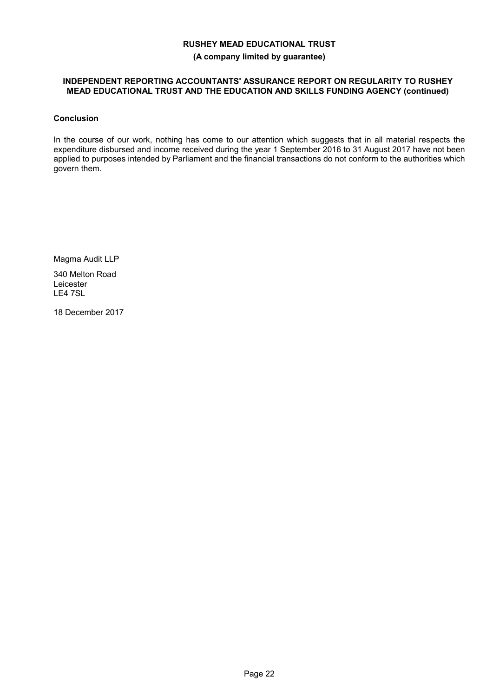#### **(A company limited by guarantee)**

## **INDEPENDENT REPORTING ACCOUNTANTS' ASSURANCE REPORT ON REGULARITY TO RUSHEY MEAD EDUCATIONAL TRUST AND THE EDUCATION AND SKILLS FUNDING AGENCY (continued)**

## **Conclusion**

In the course of our work, nothing has come to our attention which suggests that in all material respects the expenditure disbursed and income received during the year 1 September 2016 to 31 August 2017 have not been applied to purposes intended by Parliament and the financial transactions do not conform to the authorities which govern them.

Magma Audit LLP

340 Melton Road Leicester LE4 7SL

18 December 2017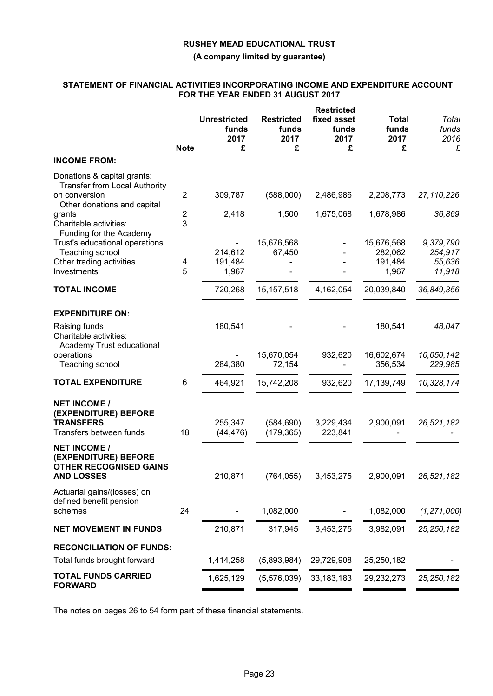**(A company limited by guarantee)**

### **STATEMENT OF FINANCIAL ACTIVITIES INCORPORATING INCOME AND EXPENDITURE ACCOUNT FOR THE YEAR ENDED 31 AUGUST 2017**

|                                                                                                                                                         | <b>Note</b>              | <b>Unrestricted</b><br>funds<br>2017<br>£ | <b>Restricted</b><br>funds<br>2017<br>£ | <b>Restricted</b><br>fixed asset<br>funds<br>2017<br>£ | <b>Total</b><br>funds<br>2017<br>£        | Total<br>funds<br>2016<br>£              |
|---------------------------------------------------------------------------------------------------------------------------------------------------------|--------------------------|-------------------------------------------|-----------------------------------------|--------------------------------------------------------|-------------------------------------------|------------------------------------------|
| <b>INCOME FROM:</b>                                                                                                                                     |                          |                                           |                                         |                                                        |                                           |                                          |
| Donations & capital grants:<br><b>Transfer from Local Authority</b><br>on conversion<br>Other donations and capital<br>grants<br>Charitable activities: | $\overline{2}$<br>2<br>3 | 309,787<br>2,418                          | (588,000)<br>1,500                      | 2,486,986<br>1,675,068                                 | 2,208,773<br>1,678,986                    | 27,110,226<br>36,869                     |
| Funding for the Academy<br>Trust's educational operations<br>Teaching school<br>Other trading activities<br>Investments                                 | 4<br>5                   | 214,612<br>191,484<br>1,967               | 15,676,568<br>67,450                    |                                                        | 15,676,568<br>282,062<br>191,484<br>1,967 | 9,379,790<br>254,917<br>55,636<br>11,918 |
| <b>TOTAL INCOME</b>                                                                                                                                     |                          | 720,268                                   | 15, 157, 518                            | 4,162,054                                              | 20,039,840                                | 36,849,356                               |
| <b>EXPENDITURE ON:</b><br>Raising funds<br>Charitable activities:<br>Academy Trust educational<br>operations                                            |                          | 180,541                                   | 15,670,054                              | 932,620                                                | 180,541<br>16,602,674                     | 48,047<br>10,050,142                     |
| Teaching school                                                                                                                                         |                          | 284,380                                   | 72,154                                  |                                                        | 356,534                                   | 229,985                                  |
| <b>TOTAL EXPENDITURE</b>                                                                                                                                | 6                        | 464,921                                   | 15,742,208                              | 932,620                                                | 17, 139, 749                              | 10,328,174                               |
| <b>NET INCOME /</b><br>(EXPENDITURE) BEFORE<br><b>TRANSFERS</b><br>Transfers between funds                                                              | 18                       | 255,347<br>(44, 476)                      | (584, 690)<br>(179, 365)                | 3,229,434<br>223,841                                   | 2,900,091                                 | 26,521,182                               |
| <b>NET INCOME /</b><br>(EXPENDITURE) BEFORE<br><b>OTHER RECOGNISED GAINS</b><br><b>AND LOSSES</b>                                                       |                          | 210,871                                   | (764, 055)                              | 3,453,275                                              | 2,900,091                                 | 26,521,182                               |
| Actuarial gains/(losses) on<br>defined benefit pension<br>schemes                                                                                       | 24                       |                                           | 1,082,000                               |                                                        | 1,082,000                                 | (1, 271, 000)                            |
| <b>NET MOVEMENT IN FUNDS</b>                                                                                                                            |                          | 210,871                                   | 317,945                                 | 3,453,275                                              | 3,982,091                                 | 25, 250, 182                             |
| <b>RECONCILIATION OF FUNDS:</b><br>Total funds brought forward                                                                                          |                          | 1,414,258                                 | (5,893,984)                             | 29,729,908                                             | 25,250,182                                |                                          |
| <b>TOTAL FUNDS CARRIED</b><br><b>FORWARD</b>                                                                                                            |                          | 1,625,129                                 | (5,576,039)                             | 33, 183, 183                                           | 29,232,273                                | 25, 250, 182                             |

The notes on pages 26 to 54 form part of these financial statements.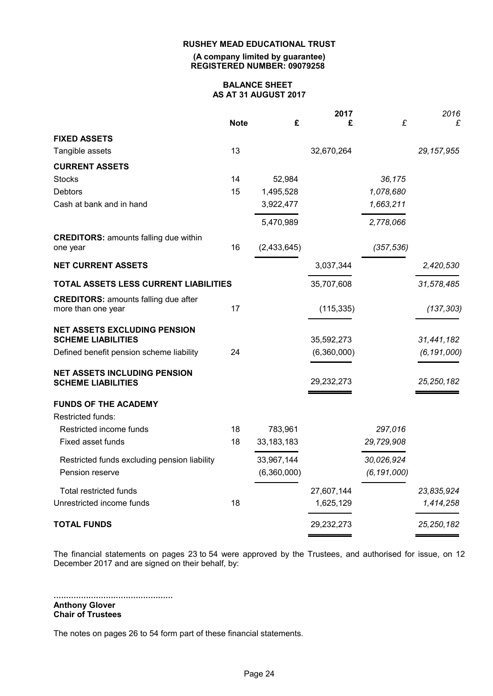**(A company limited by guarantee) REGISTERED NUMBER: 09079258**

#### **BALANCE SHEET AS AT 31 AUGUST 2017**

|                                              |             |              | 2017        |               | 2016          |
|----------------------------------------------|-------------|--------------|-------------|---------------|---------------|
|                                              | <b>Note</b> | £            | £           | £             | £             |
| <b>FIXED ASSETS</b>                          |             |              |             |               |               |
| Tangible assets                              | 13          |              | 32,670,264  |               | 29, 157, 955  |
| <b>CURRENT ASSETS</b>                        |             |              |             |               |               |
| <b>Stocks</b>                                | 14          | 52,984       |             | 36,175        |               |
| <b>Debtors</b>                               | 15          | 1,495,528    |             | 1,078,680     |               |
| Cash at bank and in hand                     |             | 3,922,477    |             | 1,663,211     |               |
|                                              |             | 5,470,989    |             | 2,778,066     |               |
| <b>CREDITORS: amounts falling due within</b> |             |              |             |               |               |
| one year                                     | 16          | (2,433,645)  |             | (357, 536)    |               |
| <b>NET CURRENT ASSETS</b>                    |             |              | 3,037,344   |               | 2,420,530     |
| TOTAL ASSETS LESS CURRENT LIABILITIES        |             |              | 35,707,608  |               | 31,578,485    |
| <b>CREDITORS: amounts falling due after</b>  |             |              |             |               |               |
| more than one year                           | 17          |              | (115, 335)  |               | (137, 303)    |
| <b>NET ASSETS EXCLUDING PENSION</b>          |             |              |             |               |               |
| <b>SCHEME LIABILITIES</b>                    |             |              | 35,592,273  |               | 31,441,182    |
| Defined benefit pension scheme liability     | 24          |              | (6,360,000) |               | (6, 191, 000) |
| <b>NET ASSETS INCLUDING PENSION</b>          |             |              |             |               |               |
| <b>SCHEME LIABILITIES</b>                    |             |              | 29,232,273  |               | 25, 250, 182  |
| <b>FUNDS OF THE ACADEMY</b>                  |             |              |             |               |               |
| Restricted funds:                            |             |              |             |               |               |
| Restricted income funds                      | 18          | 783,961      |             | 297,016       |               |
| Fixed asset funds                            | 18          | 33, 183, 183 |             | 29,729,908    |               |
| Restricted funds excluding pension liability |             | 33,967,144   |             | 30,026,924    |               |
| Pension reserve                              |             | (6,360,000)  |             | (6, 191, 000) |               |
| Total restricted funds                       |             |              | 27,607,144  |               | 23,835,924    |
| Unrestricted income funds                    | 18          |              | 1,625,129   |               | 1,414,258     |
| <b>TOTAL FUNDS</b>                           |             |              | 29,232,273  |               | 25, 250, 182  |
|                                              |             |              |             |               |               |

The financial statements on pages 23 to 54 were approved by the Trustees, and authorised for issue, on 12 December 2017 and are signed on their behalf, by:

................................................ **Anthony Glover Chair of Trustees**

The notes on pages 26 to 54 form part of these financial statements.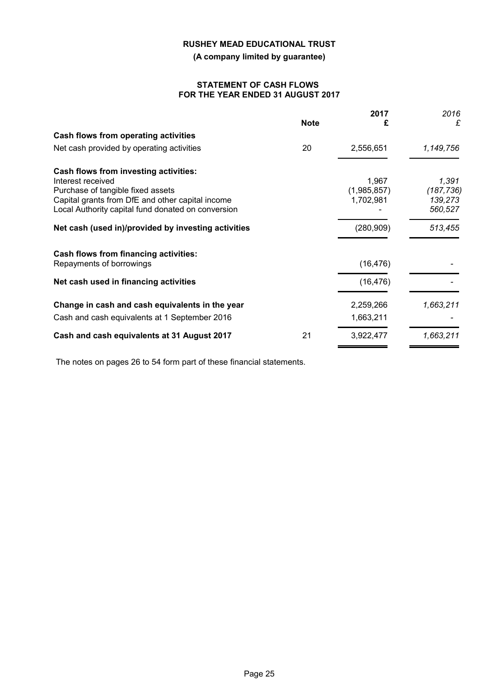**(A company limited by guarantee)**

### **STATEMENT OF CASH FLOWS FOR THE YEAR ENDED 31 AUGUST 2017**

|                                                                                                                                                                                                           | <b>Note</b> | 2017<br>£                         | 2016<br>£                                 |
|-----------------------------------------------------------------------------------------------------------------------------------------------------------------------------------------------------------|-------------|-----------------------------------|-------------------------------------------|
| Cash flows from operating activities                                                                                                                                                                      |             |                                   |                                           |
| Net cash provided by operating activities                                                                                                                                                                 | 20          | 2,556,651                         | 1,149,756                                 |
| Cash flows from investing activities:<br>Interest received<br>Purchase of tangible fixed assets<br>Capital grants from DfE and other capital income<br>Local Authority capital fund donated on conversion |             | 1,967<br>(1,985,857)<br>1,702,981 | 1,391<br>(187, 736)<br>139,273<br>560,527 |
| Net cash (used in)/provided by investing activities                                                                                                                                                       |             | (280, 909)                        | 513,455                                   |
| Cash flows from financing activities:<br>Repayments of borrowings                                                                                                                                         |             | (16, 476)                         |                                           |
| Net cash used in financing activities                                                                                                                                                                     |             | (16, 476)                         |                                           |
| Change in cash and cash equivalents in the year<br>Cash and cash equivalents at 1 September 2016                                                                                                          |             | 2,259,266<br>1,663,211            | 1,663,211                                 |
| Cash and cash equivalents at 31 August 2017                                                                                                                                                               | 21          | 3,922,477                         | 1,663,211                                 |

The notes on pages 26 to 54 form part of these financial statements.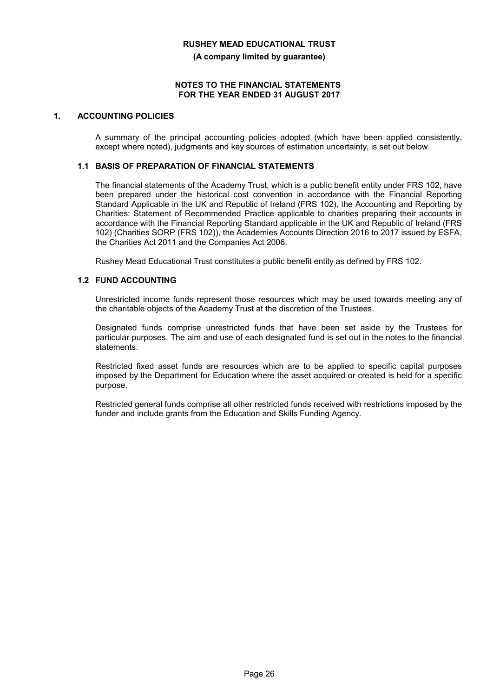**(A company limited by guarantee)**

#### **NOTES TO THE FINANCIAL STATEMENTS FOR THE YEAR ENDED 31 AUGUST 2017**

## **1. ACCOUNTING POLICIES**

A summary of the principal accounting policies adopted (which have been applied consistently, except where noted), judgments and key sources of estimation uncertainty, is set out below.

### **1.1 BASIS OF PREPARATION OF FINANCIAL STATEMENTS**

The financial statements of the Academy Trust, which is a public benefit entity under FRS 102, have been prepared under the historical cost convention in accordance with the Financial Reporting Standard Applicable in the UK and Republic of Ireland (FRS 102), the Accounting and Reporting by Charities: Statement of Recommended Practice applicable to charities preparing their accounts in accordance with the Financial Reporting Standard applicable in the UK and Republic of Ireland (FRS 102) (Charities SORP (FRS 102)), the Academies Accounts Direction 2016 to 2017 issued by ESFA, the Charities Act 2011 and the Companies Act 2006.

Rushey Mead Educational Trust constitutes a public benefit entity as defined by FRS 102.

## **1.2 FUND ACCOUNTING**

Unrestricted income funds represent those resources which may be used towards meeting any of the charitable objects of the Academy Trust at the discretion of the Trustees.

Designated funds comprise unrestricted funds that have been set aside by the Trustees for particular purposes. The aim and use of each designated fund is set out in the notes to the financial statements.

Restricted fixed asset funds are resources which are to be applied to specific capital purposes imposed by the Department for Education where the asset acquired or created is held for a specific purpose.

Restricted general funds comprise all other restricted funds received with restrictions imposed by the funder and include grants from the Education and Skills Funding Agency.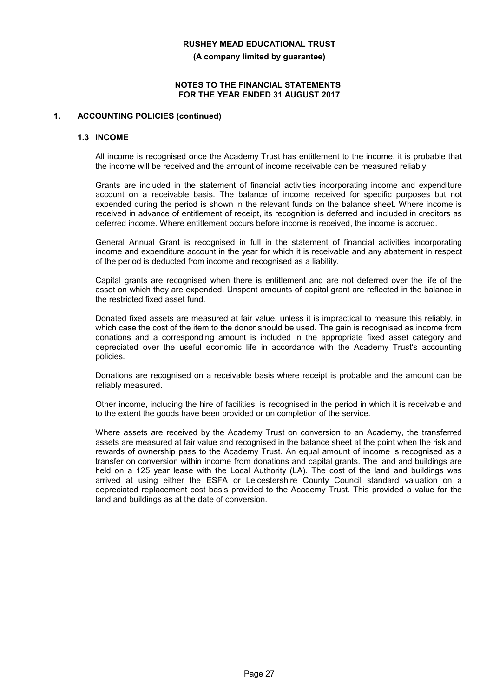**(A company limited by guarantee)**

#### **NOTES TO THE FINANCIAL STATEMENTS FOR THE YEAR ENDED 31 AUGUST 2017**

### **1. ACCOUNTING POLICIES (continued)**

#### **1.3 INCOME**

All income is recognised once the Academy Trust has entitlement to the income, it is probable that the income will be received and the amount of income receivable can be measured reliably.

Grants are included in the statement of financial activities incorporating income and expenditure account on a receivable basis. The balance of income received for specific purposes but not expended during the period is shown in the relevant funds on the balance sheet. Where income is received in advance of entitlement of receipt, its recognition is deferred and included in creditors as deferred income. Where entitlement occurs before income is received, the income is accrued.

General Annual Grant is recognised in full in the statement of financial activities incorporating income and expenditure account in the year for which it is receivable and any abatement in respect of the period is deducted from income and recognised as a liability.

Capital grants are recognised when there is entitlement and are not deferred over the life of the asset on which they are expended. Unspent amounts of capital grant are reflected in the balance in the restricted fixed asset fund.

Donated fixed assets are measured at fair value, unless it is impractical to measure this reliably, in which case the cost of the item to the donor should be used. The gain is recognised as income from donations and a corresponding amount is included in the appropriate fixed asset category and depreciated over the useful economic life in accordance with the Academy Trust's accounting policies.

Donations are recognised on a receivable basis where receipt is probable and the amount can be reliably measured.

Other income, including the hire of facilities, is recognised in the period in which it is receivable and to the extent the goods have been provided or on completion of the service.

Where assets are received by the Academy Trust on conversion to an Academy, the transferred assets are measured at fair value and recognised in the balance sheet at the point when the risk and rewards of ownership pass to the Academy Trust. An equal amount of income is recognised as a transfer on conversion within income from donations and capital grants. The land and buildings are held on a 125 year lease with the Local Authority (LA). The cost of the land and buildings was arrived at using either the ESFA or Leicestershire County Council standard valuation on a depreciated replacement cost basis provided to the Academy Trust. This provided a value for the land and buildings as at the date of conversion.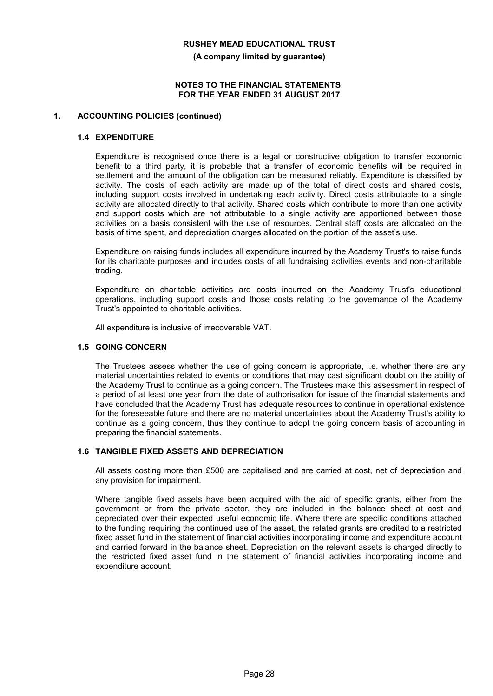**(A company limited by guarantee)**

#### **NOTES TO THE FINANCIAL STATEMENTS FOR THE YEAR ENDED 31 AUGUST 2017**

#### **1. ACCOUNTING POLICIES (continued)**

#### **1.4 EXPENDITURE**

Expenditure is recognised once there is a legal or constructive obligation to transfer economic benefit to a third party, it is probable that a transfer of economic benefits will be required in settlement and the amount of the obligation can be measured reliably. Expenditure is classified by activity. The costs of each activity are made up of the total of direct costs and shared costs, including support costs involved in undertaking each activity. Direct costs attributable to a single activity are allocated directly to that activity. Shared costs which contribute to more than one activity and support costs which are not attributable to a single activity are apportioned between those activities on a basis consistent with the use of resources. Central staff costs are allocated on the basis of time spent, and depreciation charges allocated on the portion of the asset's use.

Expenditure on raising funds includes all expenditure incurred by the Academy Trust's to raise funds for its charitable purposes and includes costs of all fundraising activities events and non-charitable trading.

Expenditure on charitable activities are costs incurred on the Academy Trust's educational operations, including support costs and those costs relating to the governance of the Academy Trust's appointed to charitable activities.

All expenditure is inclusive of irrecoverable VAT.

### **1.5 GOING CONCERN**

The Trustees assess whether the use of going concern is appropriate, i.e. whether there are any material uncertainties related to events or conditions that may cast significant doubt on the ability of the Academy Trust to continue as a going concern. The Trustees make this assessment in respect of a period of at least one year from the date of authorisation for issue of the financial statements and have concluded that the Academy Trust has adequate resources to continue in operational existence for the foreseeable future and there are no material uncertainties about the Academy Trust's ability to continue as a going concern, thus they continue to adopt the going concern basis of accounting in preparing the financial statements.

### **1.6 TANGIBLE FIXED ASSETS AND DEPRECIATION**

All assets costing more than £500 are capitalised and are carried at cost, net of depreciation and any provision for impairment.

Where tangible fixed assets have been acquired with the aid of specific grants, either from the government or from the private sector, they are included in the balance sheet at cost and depreciated over their expected useful economic life. Where there are specific conditions attached to the funding requiring the continued use of the asset, the related grants are credited to a restricted fixed asset fund in the statement of financial activities incorporating income and expenditure account and carried forward in the balance sheet. Depreciation on the relevant assets is charged directly to the restricted fixed asset fund in the statement of financial activities incorporating income and expenditure account.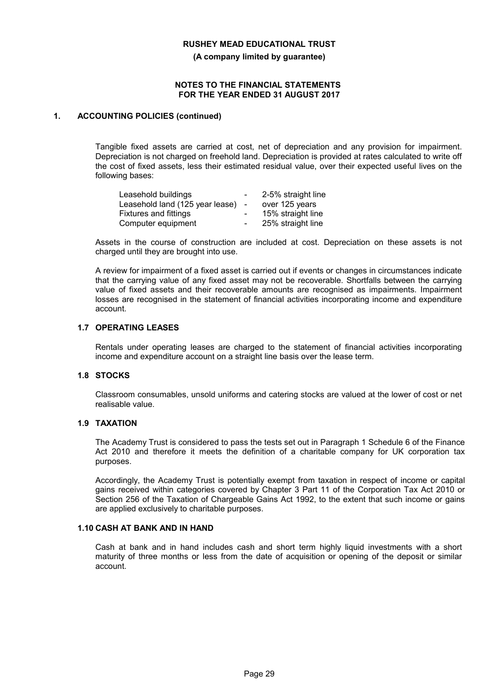**(A company limited by guarantee)**

#### **NOTES TO THE FINANCIAL STATEMENTS FOR THE YEAR ENDED 31 AUGUST 2017**

### **1. ACCOUNTING POLICIES (continued)**

Tangible fixed assets are carried at cost, net of depreciation and any provision for impairment. Depreciation is not charged on freehold land. Depreciation is provided at rates calculated to write off the cost of fixed assets, less their estimated residual value, over their expected useful lives on the following bases:

| Leasehold buildings             |                          | 2-5% straight line |
|---------------------------------|--------------------------|--------------------|
| Leasehold land (125 year lease) |                          | over 125 years     |
| <b>Fixtures and fittings</b>    | $\overline{\phantom{0}}$ | 15% straight line  |
| Computer equipment              | $\overline{\phantom{0}}$ | 25% straight line  |

Assets in the course of construction are included at cost. Depreciation on these assets is not charged until they are brought into use.

A review for impairment of a fixed asset is carried out if events or changes in circumstances indicate that the carrying value of any fixed asset may not be recoverable. Shortfalls between the carrying value of fixed assets and their recoverable amounts are recognised as impairments. Impairment losses are recognised in the statement of financial activities incorporating income and expenditure account.

### **1.7 OPERATING LEASES**

Rentals under operating leases are charged to the statement of financial activities incorporating income and expenditure account on a straight line basis over the lease term.

#### **1.8 STOCKS**

Classroom consumables, unsold uniforms and catering stocks are valued at the lower of cost or net realisable value.

## **1.9 TAXATION**

The Academy Trust is considered to pass the tests set out in Paragraph 1 Schedule 6 of the Finance Act 2010 and therefore it meets the definition of a charitable company for UK corporation tax purposes.

Accordingly, the Academy Trust is potentially exempt from taxation in respect of income or capital gains received within categories covered by Chapter 3 Part 11 of the Corporation Tax Act 2010 or Section 256 of the Taxation of Chargeable Gains Act 1992, to the extent that such income or gains are applied exclusively to charitable purposes.

#### **1.10 CASH AT BANK AND IN HAND**

Cash at bank and in hand includes cash and short term highly liquid investments with a short maturity of three months or less from the date of acquisition or opening of the deposit or similar account.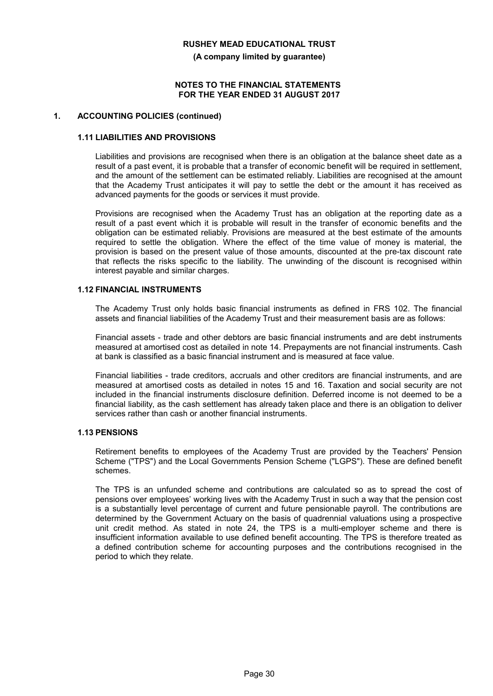**(A company limited by guarantee)**

#### **NOTES TO THE FINANCIAL STATEMENTS FOR THE YEAR ENDED 31 AUGUST 2017**

### **1. ACCOUNTING POLICIES (continued)**

### **1.11 LIABILITIES AND PROVISIONS**

Liabilities and provisions are recognised when there is an obligation at the balance sheet date as a result of a past event, it is probable that a transfer of economic benefit will be required in settlement, and the amount of the settlement can be estimated reliably. Liabilities are recognised at the amount that the Academy Trust anticipates it will pay to settle the debt or the amount it has received as advanced payments for the goods or services it must provide.

Provisions are recognised when the Academy Trust has an obligation at the reporting date as a result of a past event which it is probable will result in the transfer of economic benefits and the obligation can be estimated reliably. Provisions are measured at the best estimate of the amounts required to settle the obligation. Where the effect of the time value of money is material, the provision is based on the present value of those amounts, discounted at the pre-tax discount rate that reflects the risks specific to the liability. The unwinding of the discount is recognised within interest payable and similar charges.

### **1.12 FINANCIAL INSTRUMENTS**

The Academy Trust only holds basic financial instruments as defined in FRS 102. The financial assets and financial liabilities of the Academy Trust and their measurement basis are as follows:

Financial assets - trade and other debtors are basic financial instruments and are debt instruments measured at amortised cost as detailed in note 14. Prepayments are not financial instruments. Cash at bank is classified as a basic financial instrument and is measured at face value.

Financial liabilities - trade creditors, accruals and other creditors are financial instruments, and are measured at amortised costs as detailed in notes 15 and 16. Taxation and social security are not included in the financial instruments disclosure definition. Deferred income is not deemed to be a financial liability, as the cash settlement has already taken place and there is an obligation to deliver services rather than cash or another financial instruments.

## **1.13 PENSIONS**

Retirement benefits to employees of the Academy Trust are provided by the Teachers' Pension Scheme ("TPS") and the Local Governments Pension Scheme ("LGPS"). These are defined benefit schemes.

The TPS is an unfunded scheme and contributions are calculated so as to spread the cost of pensions over employees' working lives with the Academy Trust in such a way that the pension cost is a substantially level percentage of current and future pensionable payroll. The contributions are determined by the Government Actuary on the basis of quadrennial valuations using a prospective unit credit method. As stated in note 24, the TPS is a multi-employer scheme and there is insufficient information available to use defined benefit accounting. The TPS is therefore treated as a defined contribution scheme for accounting purposes and the contributions recognised in the period to which they relate.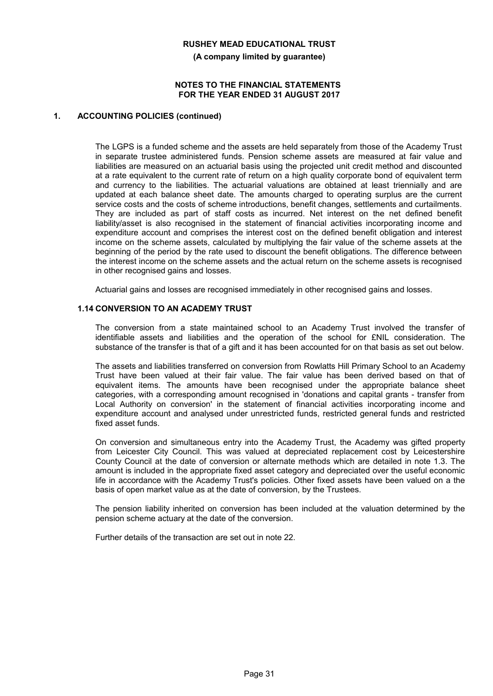**(A company limited by guarantee)**

#### **NOTES TO THE FINANCIAL STATEMENTS FOR THE YEAR ENDED 31 AUGUST 2017**

### **1. ACCOUNTING POLICIES (continued)**

The LGPS is a funded scheme and the assets are held separately from those of the Academy Trust in separate trustee administered funds. Pension scheme assets are measured at fair value and liabilities are measured on an actuarial basis using the projected unit credit method and discounted at a rate equivalent to the current rate of return on a high quality corporate bond of equivalent term and currency to the liabilities. The actuarial valuations are obtained at least triennially and are updated at each balance sheet date. The amounts charged to operating surplus are the current service costs and the costs of scheme introductions, benefit changes, settlements and curtailments. They are included as part of staff costs as incurred. Net interest on the net defined benefit liability/asset is also recognised in the statement of financial activities incorporating income and expenditure account and comprises the interest cost on the defined benefit obligation and interest income on the scheme assets, calculated by multiplying the fair value of the scheme assets at the beginning of the period by the rate used to discount the benefit obligations. The difference between the interest income on the scheme assets and the actual return on the scheme assets is recognised in other recognised gains and losses.

Actuarial gains and losses are recognised immediately in other recognised gains and losses.

### **1.14 CONVERSION TO AN ACADEMY TRUST**

The conversion from a state maintained school to an Academy Trust involved the transfer of identifiable assets and liabilities and the operation of the school for £NIL consideration. The substance of the transfer is that of a gift and it has been accounted for on that basis as set out below.

The assets and liabilities transferred on conversion from Rowlatts Hill Primary School to an Academy Trust have been valued at their fair value. The fair value has been derived based on that of equivalent items. The amounts have been recognised under the appropriate balance sheet categories, with a corresponding amount recognised in 'donations and capital grants - transfer from Local Authority on conversion' in the statement of financial activities incorporating income and expenditure account and analysed under unrestricted funds, restricted general funds and restricted fixed asset funds.

On conversion and simultaneous entry into the Academy Trust, the Academy was gifted property from Leicester City Council. This was valued at depreciated replacement cost by Leicestershire County Council at the date of conversion or alternate methods which are detailed in note 1.3. The amount is included in the appropriate fixed asset category and depreciated over the useful economic life in accordance with the Academy Trust's policies. Other fixed assets have been valued on a the basis of open market value as at the date of conversion, by the Trustees.

The pension liability inherited on conversion has been included at the valuation determined by the pension scheme actuary at the date of the conversion.

Further details of the transaction are set out in note 22.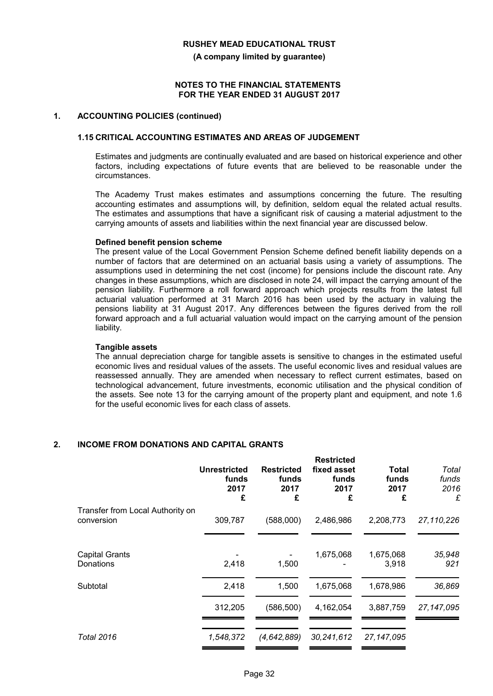**(A company limited by guarantee)**

#### **NOTES TO THE FINANCIAL STATEMENTS FOR THE YEAR ENDED 31 AUGUST 2017**

#### **1. ACCOUNTING POLICIES (continued)**

#### **1.15 CRITICAL ACCOUNTING ESTIMATES AND AREAS OF JUDGEMENT**

Estimates and judgments are continually evaluated and are based on historical experience and other factors, including expectations of future events that are believed to be reasonable under the circumstances.

The Academy Trust makes estimates and assumptions concerning the future. The resulting accounting estimates and assumptions will, by definition, seldom equal the related actual results. The estimates and assumptions that have a significant risk of causing a material adjustment to the carrying amounts of assets and liabilities within the next financial year are discussed below.

#### **Defined benefit pension scheme**

The present value of the Local Government Pension Scheme defined benefit liability depends on a number of factors that are determined on an actuarial basis using a variety of assumptions. The assumptions used in determining the net cost (income) for pensions include the discount rate. Any changes in these assumptions, which are disclosed in note 24, will impact the carrying amount of the pension liability. Furthermore a roll forward approach which projects results from the latest full actuarial valuation performed at 31 March 2016 has been used by the actuary in valuing the pensions liability at 31 August 2017. Any differences between the figures derived from the roll forward approach and a full actuarial valuation would impact on the carrying amount of the pension liability.

#### **Tangible assets**

The annual depreciation charge for tangible assets is sensitive to changes in the estimated useful economic lives and residual values of the assets. The useful economic lives and residual values are reassessed annually. They are amended when necessary to reflect current estimates, based on technological advancement, future investments, economic utilisation and the physical condition of the assets. See note 13 for the carrying amount of the property plant and equipment, and note 1.6 for the useful economic lives for each class of assets.

## **2. INCOME FROM DONATIONS AND CAPITAL GRANTS**

|                                                | <b>Unrestricted</b><br>funds<br>2017<br>£ | <b>Restricted</b><br>funds<br>2017<br>£ | <b>Restricted</b><br>fixed asset<br>funds<br>2017<br>£ | Total<br>funds<br>2017<br>£ | Total<br>funds<br>2016<br>£ |
|------------------------------------------------|-------------------------------------------|-----------------------------------------|--------------------------------------------------------|-----------------------------|-----------------------------|
| Transfer from Local Authority on<br>conversion | 309,787                                   | (588,000)                               | 2,486,986                                              | 2,208,773                   | 27,110,226                  |
| <b>Capital Grants</b><br>Donations             | 2,418                                     | 1,500                                   | 1,675,068                                              | 1,675,068<br>3,918          | 35,948<br>921               |
| Subtotal                                       | 2,418                                     | 1,500                                   | 1,675,068                                              | 1,678,986                   | 36,869                      |
|                                                | 312,205                                   | (586,500)                               | 4,162,054                                              | 3,887,759                   | 27, 147, 095                |
| <b>Total 2016</b>                              | 1,548,372                                 | (4,642,889)                             | 30,241,612                                             | 27, 147, 095                |                             |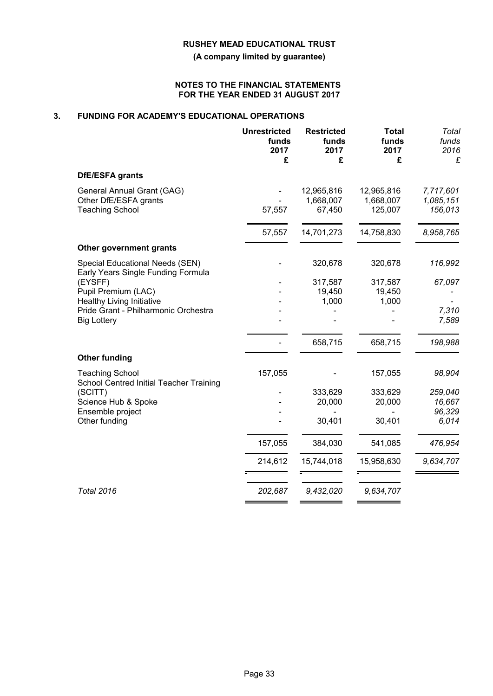**(A company limited by guarantee)**

#### **NOTES TO THE FINANCIAL STATEMENTS FOR THE YEAR ENDED 31 AUGUST 2017**

## **3. FUNDING FOR ACADEMY'S EDUCATIONAL OPERATIONS**

|                                                                                                                                                                        | <b>Unrestricted</b><br>funds<br>2017<br>£ | <b>Restricted</b><br>funds<br>2017<br>£ | <b>Total</b><br>funds<br>2017<br>£ | Total<br>funds<br>2016<br>£          |
|------------------------------------------------------------------------------------------------------------------------------------------------------------------------|-------------------------------------------|-----------------------------------------|------------------------------------|--------------------------------------|
| <b>DfE/ESFA</b> grants                                                                                                                                                 |                                           |                                         |                                    |                                      |
| General Annual Grant (GAG)<br>Other DfE/ESFA grants<br><b>Teaching School</b>                                                                                          | 57,557                                    | 12,965,816<br>1,668,007<br>67,450       | 12,965,816<br>1,668,007<br>125,007 | 7,717,601<br>1,085,151<br>156,013    |
|                                                                                                                                                                        | 57,557                                    | 14,701,273                              | 14,758,830                         | 8,958,765                            |
| Other government grants                                                                                                                                                |                                           |                                         |                                    |                                      |
| Special Educational Needs (SEN)                                                                                                                                        |                                           | 320,678                                 | 320,678                            | 116,992                              |
| Early Years Single Funding Formula<br>(EYSFF)<br>Pupil Premium (LAC)<br><b>Healthy Living Initiative</b><br>Pride Grant - Philharmonic Orchestra<br><b>Big Lottery</b> |                                           | 317,587<br>19,450<br>1,000              | 317,587<br>19,450<br>1,000         | 67,097<br>7,310<br>7,589             |
|                                                                                                                                                                        |                                           | 658,715                                 | 658,715                            | 198,988                              |
| <b>Other funding</b>                                                                                                                                                   |                                           |                                         |                                    |                                      |
| <b>Teaching School</b><br>School Centred Initial Teacher Training                                                                                                      | 157,055                                   |                                         | 157,055                            | 98,904                               |
| (SCITT)<br>Science Hub & Spoke<br>Ensemble project<br>Other funding                                                                                                    |                                           | 333,629<br>20,000<br>30,401             | 333,629<br>20,000<br>30,401        | 259,040<br>16,667<br>96,329<br>6,014 |
|                                                                                                                                                                        |                                           |                                         |                                    |                                      |
|                                                                                                                                                                        | 157,055                                   | 384,030                                 | 541,085                            | 476,954                              |
|                                                                                                                                                                        | 214,612                                   | 15,744,018                              | 15,958,630                         | 9,634,707                            |
| <b>Total 2016</b>                                                                                                                                                      | 202,687                                   | 9,432,020                               | 9,634,707                          |                                      |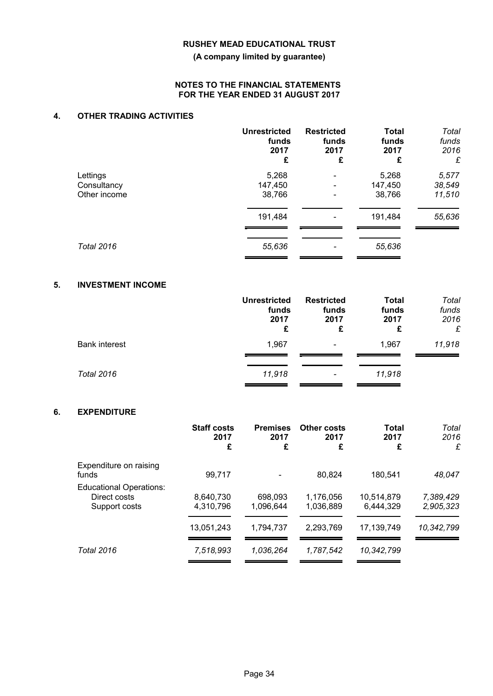**(A company limited by guarantee)**

### **NOTES TO THE FINANCIAL STATEMENTS FOR THE YEAR ENDED 31 AUGUST 2017**

## **4. OTHER TRADING ACTIVITIES**

|                             | <b>Unrestricted</b><br>funds<br>2017<br>£ | <b>Restricted</b><br>funds<br>2017<br>£ | <b>Total</b><br>funds<br>2017<br>£ | Total<br>funds<br>2016<br>£ |
|-----------------------------|-------------------------------------------|-----------------------------------------|------------------------------------|-----------------------------|
| Lettings                    | 5,268                                     |                                         | 5,268                              | 5,577                       |
| Consultancy<br>Other income | 147,450<br>38,766                         |                                         | 147,450<br>38,766                  | 38,549<br>11,510            |
|                             | 191,484                                   |                                         | 191,484                            | 55,636                      |
| <b>Total 2016</b>           | 55,636                                    |                                         | 55,636                             |                             |

## **5. INVESTMENT INCOME**

|                      | <b>Unrestricted</b><br>funds<br>2017<br>£ | <b>Restricted</b><br>funds<br>2017<br>£ | <b>Total</b><br>funds<br>2017<br>£ | Total<br>funds<br>2016<br>£ |
|----------------------|-------------------------------------------|-----------------------------------------|------------------------------------|-----------------------------|
| <b>Bank interest</b> | 1,967                                     | $\overline{\phantom{a}}$                | 1,967                              | 11,918                      |
| Total 2016           | 11,918                                    | $\overline{\phantom{a}}$                | 11,918                             |                             |

## **6. EXPENDITURE**

|                                                                 | <b>Staff costs</b><br>2017<br>£ | <b>Premises</b><br>2017<br>£ | Other costs<br>2017<br>£ | Total<br>2017<br>£      | Total<br>2016<br>£     |
|-----------------------------------------------------------------|---------------------------------|------------------------------|--------------------------|-------------------------|------------------------|
| Expenditure on raising<br>funds                                 | 99,717                          |                              | 80.824                   | 180.541                 | 48,047                 |
| <b>Educational Operations:</b><br>Direct costs<br>Support costs | 8.640.730<br>4,310,796          | 698.093<br>1.096.644         | 1.176.056<br>1,036,889   | 10.514.879<br>6,444,329 | 7,389,429<br>2,905,323 |
|                                                                 | 13,051,243                      | 1,794,737                    | 2,293,769                | 17.139.749              | 10,342,799             |
| <b>Total 2016</b>                                               | 7,518,993                       | 1.036.264                    | 1.787.542                | 10,342,799              |                        |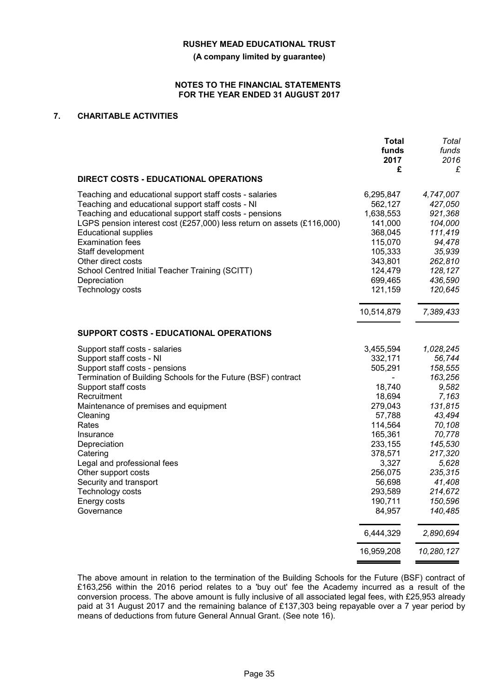**(A company limited by guarantee)**

#### **NOTES TO THE FINANCIAL STATEMENTS FOR THE YEAR ENDED 31 AUGUST 2017**

## **7. CHARITABLE ACTIVITIES**

|                                                                        | Total      | Total      |
|------------------------------------------------------------------------|------------|------------|
|                                                                        | funds      | funds      |
|                                                                        | 2017       | 2016       |
|                                                                        | £          | £          |
| <b>DIRECT COSTS - EDUCATIONAL OPERATIONS</b>                           |            |            |
| Teaching and educational support staff costs - salaries                | 6,295,847  | 4,747,007  |
| Teaching and educational support staff costs - NI                      | 562,127    | 427,050    |
| Teaching and educational support staff costs - pensions                | 1,638,553  | 921,368    |
| LGPS pension interest cost (£257,000) less return on assets (£116,000) | 141,000    | 104,000    |
| <b>Educational supplies</b>                                            | 368,045    | 111,419    |
| <b>Examination fees</b>                                                | 115,070    | 94,478     |
| Staff development                                                      | 105,333    | 35,939     |
| Other direct costs                                                     | 343,801    | 262,810    |
| School Centred Initial Teacher Training (SCITT)                        | 124,479    | 128,127    |
| Depreciation                                                           | 699,465    | 436,590    |
| Technology costs                                                       | 121,159    | 120,645    |
|                                                                        | 10,514,879 | 7,389,433  |
|                                                                        |            |            |
| <b>SUPPORT COSTS - EDUCATIONAL OPERATIONS</b>                          |            |            |
| Support staff costs - salaries                                         | 3,455,594  | 1,028,245  |
| Support staff costs - NI                                               | 332,171    | 56,744     |
| Support staff costs - pensions                                         | 505,291    | 158,555    |
| Termination of Building Schools for the Future (BSF) contract          |            | 163,256    |
| Support staff costs                                                    | 18,740     | 9,582      |
| Recruitment                                                            | 18,694     | 7,163      |
| Maintenance of premises and equipment                                  | 279,043    | 131,815    |
| Cleaning                                                               | 57,788     | 43,494     |
| Rates                                                                  | 114,564    | 70,108     |
| Insurance                                                              | 165,361    | 70,778     |
| Depreciation                                                           | 233,155    | 145,530    |
| Catering                                                               | 378,571    | 217,320    |
| Legal and professional fees                                            | 3,327      | 5,628      |
| Other support costs                                                    | 256,075    | 235,315    |
| Security and transport                                                 | 56,698     | 41,408     |
| <b>Technology costs</b>                                                | 293,589    | 214,672    |
| Energy costs                                                           | 190,711    | 150,596    |
| Governance                                                             | 84,957     | 140,485    |
|                                                                        | 6,444,329  | 2,890,694  |
|                                                                        | 16,959,208 | 10,280,127 |

The above amount in relation to the termination of the Building Schools for the Future (BSF) contract of £163,256 within the 2016 period relates to a 'buy out' fee the Academy incurred as a result of the conversion process. The above amount is fully inclusive of all associated legal fees, with £25,953 already paid at 31 August 2017 and the remaining balance of £137,303 being repayable over a 7 year period by means of deductions from future General Annual Grant. (See note 16).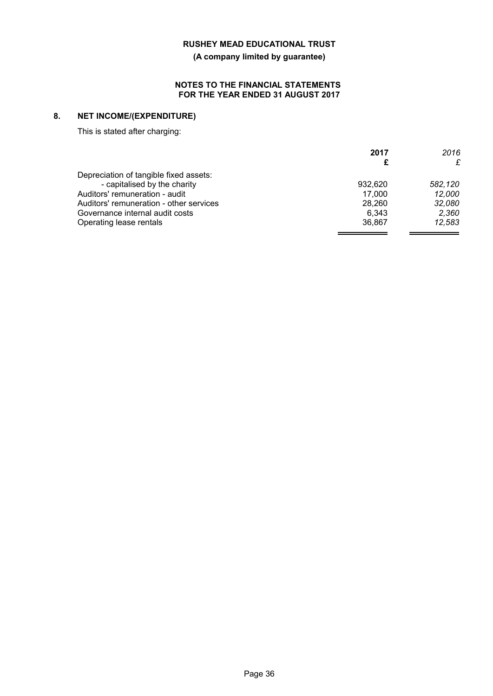**(A company limited by guarantee)**

### **NOTES TO THE FINANCIAL STATEMENTS FOR THE YEAR ENDED 31 AUGUST 2017**

# **8. NET INCOME/(EXPENDITURE)**

This is stated after charging:

|                                         | 2017    | 2016    |
|-----------------------------------------|---------|---------|
|                                         |         | £       |
| Depreciation of tangible fixed assets:  |         |         |
| - capitalised by the charity            | 932.620 | 582,120 |
| Auditors' remuneration - audit          | 17,000  | 12,000  |
| Auditors' remuneration - other services | 28,260  | 32,080  |
| Governance internal audit costs         | 6.343   | 2,360   |
| Operating lease rentals                 | 36.867  | 12,583  |
|                                         |         |         |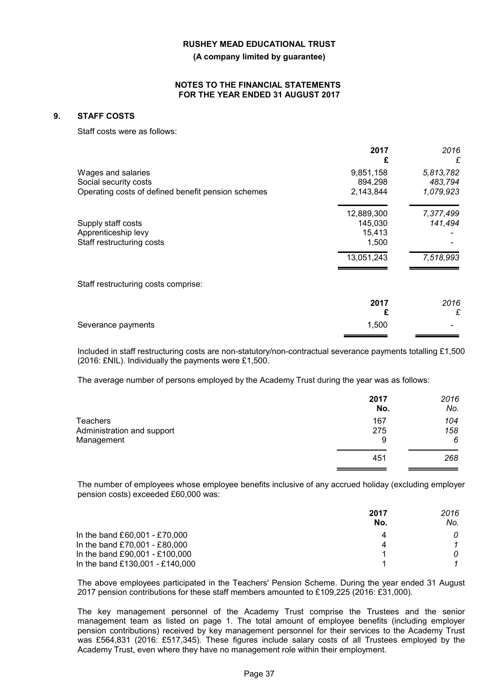**(A company limited by guarantee)**

#### **NOTES TO THE FINANCIAL STATEMENTS FOR THE YEAR ENDED 31 AUGUST 2017**

### **9. STAFF COSTS**

Staff costs were as follows:

|                                                    | 2017<br>£  | 2016<br>£ |
|----------------------------------------------------|------------|-----------|
| Wages and salaries                                 | 9,851,158  | 5,813,782 |
| Social security costs                              | 894,298    | 483,794   |
| Operating costs of defined benefit pension schemes | 2,143,844  | 1,079,923 |
|                                                    | 12,889,300 | 7,377,499 |
| Supply staff costs                                 | 145,030    | 141,494   |
| Apprenticeship levy                                | 15,413     |           |
| Staff restructuring costs                          | 1,500      |           |
|                                                    | 13,051,243 | 7,518,993 |
| Staff restructuring costs comprise:                |            |           |
|                                                    | 2017       | 2016      |
|                                                    | £          | £         |
| Severance payments                                 | 1,500      |           |

Included in staff restructuring costs are non-statutory/non-contractual severance payments totalling £1,500 (2016: £NIL). Individually the payments were £1,500.

The average number of persons employed by the Academy Trust during the year was as follows:

|                            | 2017<br>No. | 2016<br>No. |
|----------------------------|-------------|-------------|
| <b>Teachers</b>            | 167         | 104         |
| Administration and support | 275         | 158         |
| Management                 | 9           | 6           |
|                            | 451         | 268         |

The number of employees whose employee benefits inclusive of any accrued holiday (excluding employer pension costs) exceeded £60,000 was:

|                                 | 2017<br>No. | 2016<br>No. |
|---------------------------------|-------------|-------------|
| In the band £60,001 - £70,000   |             |             |
| In the band £70,001 - £80,000   | 4           |             |
| In the band £90,001 - £100,000  |             |             |
| In the band £130,001 - £140,000 |             |             |

The above employees participated in the Teachers' Pension Scheme. During the year ended 31 August 2017 pension contributions for these staff members amounted to £109,225 (2016: £31,000).

The key management personnel of the Academy Trust comprise the Trustees and the senior management team as listed on page 1. The total amount of employee benefits (including employer pension contributions) received by key management personnel for their services to the Academy Trust was £564,831 (2016: £517,345). These figures include salary costs of all Trustees employed by the Academy Trust, even where they have no management role within their employment.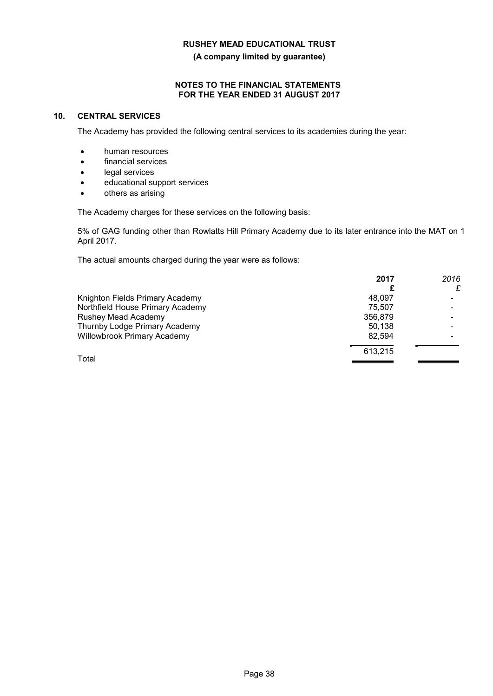**(A company limited by guarantee)**

### **NOTES TO THE FINANCIAL STATEMENTS FOR THE YEAR ENDED 31 AUGUST 2017**

### **10. CENTRAL SERVICES**

The Academy has provided the following central services to its academies during the year:

- human resources
- financial services
- **.** legal services
- educational support services
- others as arising

The Academy charges for these services on the following basis:

5% of GAG funding other than Rowlatts Hill Primary Academy due to its later entrance into the MAT on 1 April 2017.

The actual amounts charged during the year were as follows:

|                                    | 2017    | 2016 |
|------------------------------------|---------|------|
|                                    |         |      |
| Knighton Fields Primary Academy    | 48.097  |      |
| Northfield House Primary Academy   | 75.507  |      |
| Rushey Mead Academy                | 356,879 |      |
| Thurnby Lodge Primary Academy      | 50.138  |      |
| <b>Willowbrook Primary Academy</b> | 82.594  |      |
| Total                              | 613.215 |      |
|                                    |         |      |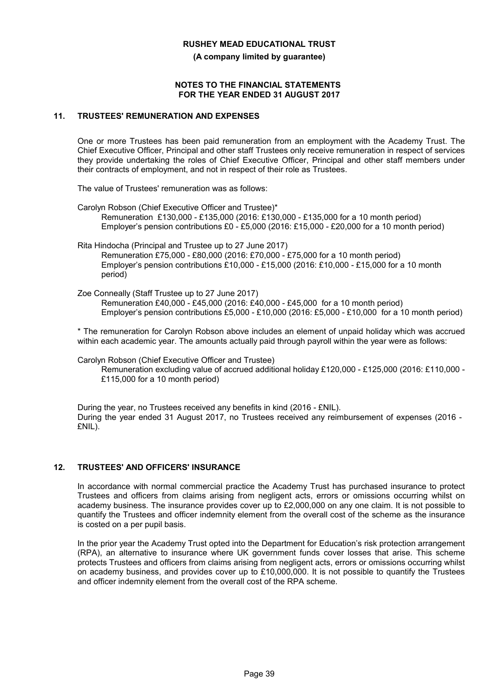**(A company limited by guarantee)**

#### **NOTES TO THE FINANCIAL STATEMENTS FOR THE YEAR ENDED 31 AUGUST 2017**

#### **11. TRUSTEES' REMUNERATION AND EXPENSES**

One or more Trustees has been paid remuneration from an employment with the Academy Trust. The Chief Executive Officer, Principal and other staff Trustees only receive remuneration in respect of services they provide undertaking the roles of Chief Executive Officer, Principal and other staff members under their contracts of employment, and not in respect of their role as Trustees.

The value of Trustees' remuneration was as follows:

- Carolyn Robson (Chief Executive Officer and Trustee)\* Remuneration £130,000 - £135,000 (2016: £130,000 - £135,000 for a 10 month period) Employer's pension contributions £0 - £5,000 (2016: £15,000 - £20,000 for a 10 month period)
- Rita Hindocha (Principal and Trustee up to 27 June 2017) Remuneration £75,000 - £80,000 (2016: £70,000 - £75,000 for a 10 month period) Employer's pension contributions £10,000 - £15,000 (2016: £10,000 - £15,000 for a 10 month period)
- Zoe Conneally (Staff Trustee up to 27 June 2017) Remuneration £40,000 - £45,000 (2016: £40,000 - £45,000 for a 10 month period) Employer's pension contributions £5,000 - £10,000 (2016: £5,000 - £10,000 for a 10 month period)

\* The remuneration for Carolyn Robson above includes an element of unpaid holiday which was accrued within each academic year. The amounts actually paid through payroll within the year were as follows:

Carolyn Robson (Chief Executive Officer and Trustee)

Remuneration excluding value of accrued additional holiday £120,000 - £125,000 (2016: £110,000 - £115,000 for a 10 month period)

During the year, no Trustees received any benefits in kind (2016 - £NIL). During the year ended 31 August 2017, no Trustees received any reimbursement of expenses (2016 - £NIL).

## **12. TRUSTEES' AND OFFICERS' INSURANCE**

In accordance with normal commercial practice the Academy Trust has purchased insurance to protect Trustees and officers from claims arising from negligent acts, errors or omissions occurring whilst on academy business. The insurance provides cover up to £2,000,000 on any one claim. It is not possible to quantify the Trustees and officer indemnity element from the overall cost of the scheme as the insurance is costed on a per pupil basis.

In the prior year the Academy Trust opted into the Department for Education's risk protection arrangement (RPA), an alternative to insurance where UK government funds cover losses that arise. This scheme protects Trustees and officers from claims arising from negligent acts, errors or omissions occurring whilst on academy business, and provides cover up to £10,000,000. It is not possible to quantify the Trustees and officer indemnity element from the overall cost of the RPA scheme.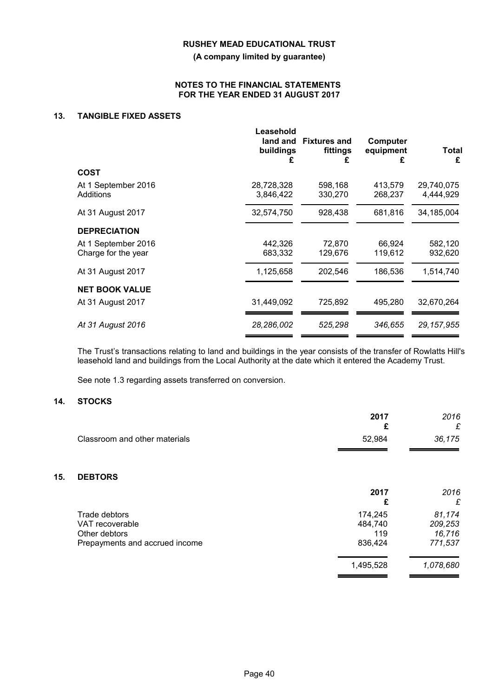**(A company limited by guarantee)**

#### **NOTES TO THE FINANCIAL STATEMENTS FOR THE YEAR ENDED 31 AUGUST 2017**

## **13. TANGIBLE FIXED ASSETS**

|                                            | Leasehold<br>buildings<br>£ | land and Fixtures and<br>fittings<br>£ | Computer<br>equipment<br>£ | Total<br>£              |
|--------------------------------------------|-----------------------------|----------------------------------------|----------------------------|-------------------------|
| <b>COST</b>                                |                             |                                        |                            |                         |
| At 1 September 2016<br>Additions           | 28,728,328<br>3,846,422     | 598,168<br>330,270                     | 413,579<br>268,237         | 29,740,075<br>4,444,929 |
| At 31 August 2017                          | 32,574,750                  | 928,438                                | 681,816                    | 34,185,004              |
| <b>DEPRECIATION</b>                        |                             |                                        |                            |                         |
| At 1 September 2016<br>Charge for the year | 442,326<br>683,332          | 72,870<br>129,676                      | 66,924<br>119,612          | 582,120<br>932,620      |
|                                            |                             |                                        |                            |                         |
| At 31 August 2017                          | 1,125,658                   | 202,546                                | 186,536                    | 1,514,740               |
| <b>NET BOOK VALUE</b>                      |                             |                                        |                            |                         |
| At 31 August 2017                          | 31,449,092                  | 725,892                                | 495,280                    | 32,670,264              |
| At 31 August 2016                          | 28,286,002                  | 525,298                                | 346,655                    | 29,157,955              |

The Trust's transactions relating to land and buildings in the year consists of the transfer of Rowlatts Hill's leasehold land and buildings from the Local Authority at the date which it entered the Academy Trust.

See note 1.3 regarding assets transferred on conversion.

## **14. STOCKS**

**15.** 

|                                | 2017<br>£ | 2016<br>£ |
|--------------------------------|-----------|-----------|
| Classroom and other materials  | 52,984    | 36,175    |
|                                |           |           |
| <b>DEBTORS</b>                 |           |           |
|                                | 2017      | 2016      |
|                                | £         | £         |
| Trade debtors                  | 174,245   | 81,174    |
| VAT recoverable                | 484,740   | 209,253   |
| Other debtors                  | 119       | 16,716    |
| Prepayments and accrued income | 836,424   | 771,537   |
|                                | 1,495,528 | 1,078,680 |
|                                |           |           |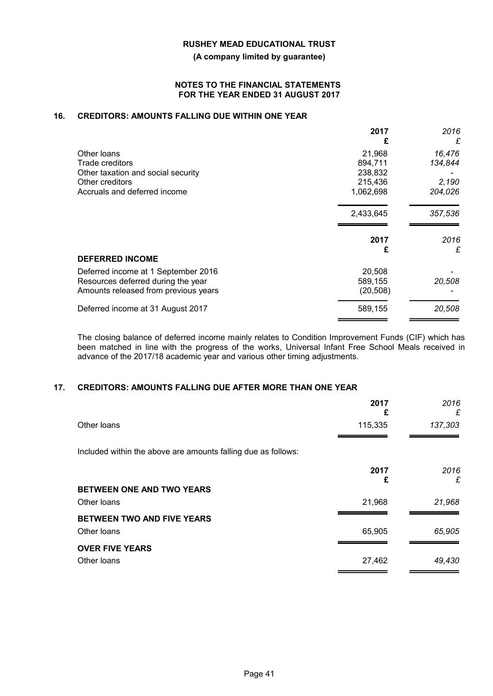**(A company limited by guarantee)**

#### **NOTES TO THE FINANCIAL STATEMENTS FOR THE YEAR ENDED 31 AUGUST 2017**

## **16. CREDITORS: AMOUNTS FALLING DUE WITHIN ONE YEAR**

|                                                                           | 2017<br>£         | 2016<br>£ |
|---------------------------------------------------------------------------|-------------------|-----------|
| Other loans                                                               | 21,968            | 16,476    |
| Trade creditors                                                           | 894,711           | 134,844   |
| Other taxation and social security                                        | 238,832           |           |
| Other creditors                                                           | 215,436           | 2,190     |
| Accruals and deferred income                                              | 1,062,698         | 204,026   |
|                                                                           | 2,433,645         | 357,536   |
|                                                                           | 2017              | 2016      |
|                                                                           |                   |           |
| <b>DEFERRED INCOME</b>                                                    | £                 | £         |
|                                                                           |                   |           |
| Deferred income at 1 September 2016<br>Resources deferred during the year | 20,508<br>589,155 | 20,508    |
| Amounts released from previous years                                      | (20, 508)         |           |

The closing balance of deferred income mainly relates to Condition Improvement Funds (CIF) which has been matched in line with the progress of the works, Universal Infant Free School Meals received in advance of the 2017/18 academic year and various other timing adjustments.

## **17. CREDITORS: AMOUNTS FALLING DUE AFTER MORE THAN ONE YEAR**

|                                                               | 2017<br>£ | 2016<br>£ |
|---------------------------------------------------------------|-----------|-----------|
| Other loans                                                   | 115,335   | 137,303   |
| Included within the above are amounts falling due as follows: |           |           |
|                                                               | 2017<br>£ | 2016<br>£ |
| BETWEEN ONE AND TWO YEARS                                     |           |           |
| Other loans                                                   | 21,968    | 21,968    |
| BETWEEN TWO AND FIVE YEARS                                    |           |           |
| Other loans                                                   | 65,905    | 65,905    |
| <b>OVER FIVE YEARS</b>                                        |           |           |
| Other loans                                                   | 27,462    | 49,430    |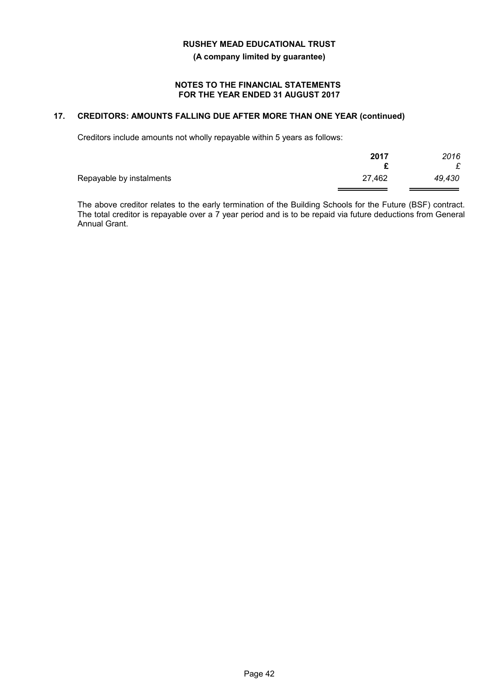**(A company limited by guarantee)**

#### **NOTES TO THE FINANCIAL STATEMENTS FOR THE YEAR ENDED 31 AUGUST 2017**

## **17. CREDITORS: AMOUNTS FALLING DUE AFTER MORE THAN ONE YEAR (continued)**

Creditors include amounts not wholly repayable within 5 years as follows:

|                          | 2017   | 2016   |
|--------------------------|--------|--------|
| Repayable by instalments | 27,462 | 49,430 |

The above creditor relates to the early termination of the Building Schools for the Future (BSF) contract. The total creditor is repayable over a  $7$  year period and is to be repaid via future deductions from General Annual Grant.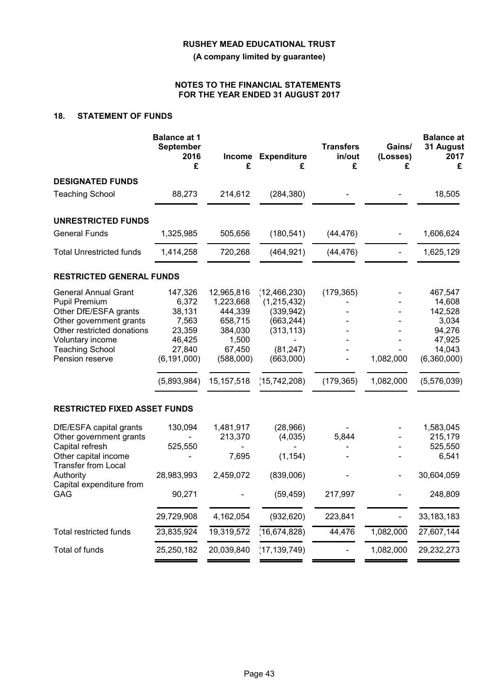**(A company limited by guarantee)**

### **NOTES TO THE FINANCIAL STATEMENTS FOR THE YEAR ENDED 31 AUGUST 2017**

## **18. STATEMENT OF FUNDS**

|                                                                                                                                                                                                 | <b>Balance at 1</b><br>September<br>2016<br>£                                                     | £                                                                                                        | Income Expenditure<br>£                                                                                           | <b>Transfers</b><br>in/out<br>£ | Gains/<br>(Losses)<br>£ | <b>Balance</b> at<br>31 August<br>2017<br>£                                                       |
|-------------------------------------------------------------------------------------------------------------------------------------------------------------------------------------------------|---------------------------------------------------------------------------------------------------|----------------------------------------------------------------------------------------------------------|-------------------------------------------------------------------------------------------------------------------|---------------------------------|-------------------------|---------------------------------------------------------------------------------------------------|
| <b>DESIGNATED FUNDS</b>                                                                                                                                                                         |                                                                                                   |                                                                                                          |                                                                                                                   |                                 |                         |                                                                                                   |
| <b>Teaching School</b>                                                                                                                                                                          | 88,273                                                                                            | 214,612                                                                                                  | (284, 380)                                                                                                        |                                 |                         | 18,505                                                                                            |
| <b>UNRESTRICTED FUNDS</b>                                                                                                                                                                       |                                                                                                   |                                                                                                          |                                                                                                                   |                                 |                         |                                                                                                   |
| <b>General Funds</b>                                                                                                                                                                            | 1,325,985                                                                                         | 505,656                                                                                                  | (180, 541)                                                                                                        | (44, 476)                       |                         | 1,606,624                                                                                         |
| <b>Total Unrestricted funds</b>                                                                                                                                                                 | 1,414,258                                                                                         | 720,268                                                                                                  | (464, 921)                                                                                                        | (44, 476)                       |                         | 1,625,129                                                                                         |
| <b>RESTRICTED GENERAL FUNDS</b>                                                                                                                                                                 |                                                                                                   |                                                                                                          |                                                                                                                   |                                 |                         |                                                                                                   |
| <b>General Annual Grant</b><br>Pupil Premium<br>Other DfE/ESFA grants<br>Other government grants<br>Other restricted donations<br>Voluntary income<br><b>Teaching School</b><br>Pension reserve | 147,326<br>6,372<br>38,131<br>7,563<br>23,359<br>46,425<br>27,840<br>(6, 191, 000)<br>(5,893,984) | 12,965,816<br>1,223,668<br>444,339<br>658,715<br>384,030<br>1,500<br>67,450<br>(588,000)<br>15, 157, 518 | (12, 466, 230)<br>(1,215,432)<br>(339, 942)<br>(663, 244)<br>(313, 113)<br>(81, 247)<br>(663,000)<br>(15,742,208) | (179, 365)<br>(179, 365)        | 1,082,000<br>1,082,000  | 467,547<br>14,608<br>142,528<br>3,034<br>94,276<br>47,925<br>14,043<br>(6,360,000)<br>(5,576,039) |
| <b>RESTRICTED FIXED ASSET FUNDS</b>                                                                                                                                                             |                                                                                                   |                                                                                                          |                                                                                                                   |                                 |                         |                                                                                                   |
| DfE/ESFA capital grants<br>Other government grants<br>Capital refresh<br>Other capital income<br><b>Transfer from Local</b>                                                                     | 130,094<br>525,550                                                                                | 1,481,917<br>213,370<br>7,695                                                                            | (28,966)<br>(4,035)<br>(1, 154)                                                                                   | 5,844                           |                         | 1,583,045<br>215,179<br>525,550<br>6,541                                                          |
| Authority<br>Capital expenditure from                                                                                                                                                           | 28,983,993                                                                                        | 2,459,072                                                                                                | (839,006)                                                                                                         |                                 |                         | 30,604,059                                                                                        |
| GAG                                                                                                                                                                                             | 90,271                                                                                            |                                                                                                          | (59, 459)                                                                                                         | 217,997                         |                         | 248,809                                                                                           |
|                                                                                                                                                                                                 | 29,729,908                                                                                        | 4,162,054                                                                                                | (932, 620)                                                                                                        | 223,841                         |                         | 33, 183, 183                                                                                      |
| <b>Total restricted funds</b>                                                                                                                                                                   | 23,835,924                                                                                        | 19,319,572                                                                                               | (16, 674, 828)                                                                                                    | 44,476                          | 1,082,000               | 27,607,144                                                                                        |
| Total of funds                                                                                                                                                                                  | 25,250,182                                                                                        | 20,039,840                                                                                               | (17, 139, 749)                                                                                                    |                                 | 1,082,000               | 29,232,273                                                                                        |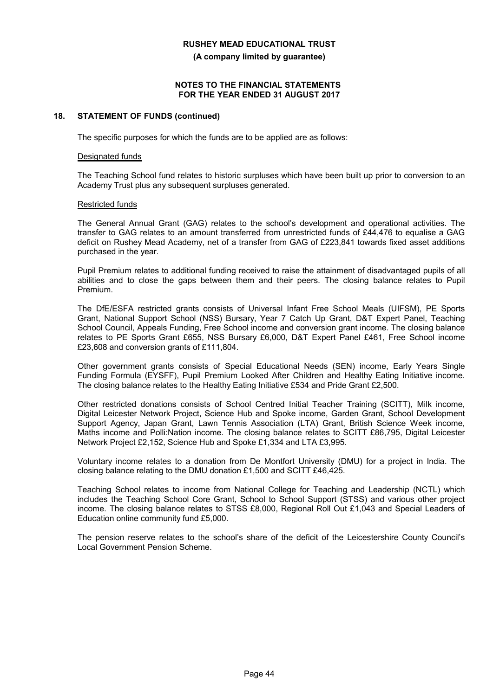**(A company limited by guarantee)**

#### **NOTES TO THE FINANCIAL STATEMENTS FOR THE YEAR ENDED 31 AUGUST 2017**

#### **18. STATEMENT OF FUNDS (continued)**

The specific purposes for which the funds are to be applied are as follows:

#### Designated funds

The Teaching School fund relates to historic surpluses which have been built up prior to conversion to an Academy Trust plus any subsequent surpluses generated.

#### Restricted funds

The General Annual Grant (GAG) relates to the school's development and operational activities. The transfer to GAG relates to an amount transferred from unrestricted funds of £44,476 to equalise a GAG deficit on Rushey Mead Academy, net of a transfer from GAG of £223,841 towards fixed asset additions purchased in the year.

Pupil Premium relates to additional funding received to raise the attainment of disadvantaged pupils of all abilities and to close the gaps between them and their peers. The closing balance relates to Pupil Premium.

The DfE/ESFA restricted grants consists of Universal Infant Free School Meals (UIFSM), PE Sports Grant, National Support School (NSS) Bursary, Year 7 Catch Up Grant, D&T Expert Panel, Teaching School Council, Appeals Funding, Free School income and conversion grant income. The closing balance relates to PE Sports Grant £655, NSS Bursary £6,000, D&T Expert Panel £461, Free School income £23,608 and conversion grants of £111,804.

Other government grants consists of Special Educational Needs (SEN) income, Early Years Single Funding Formula (EYSFF), Pupil Premium Looked After Children and Healthy Eating Initiative income. The closing balance relates to the Healthy Eating Initiative £534 and Pride Grant £2,500.

Other restricted donations consists of School Centred Initial Teacher Training (SCITT), Milk income, Digital Leicester Network Project, Science Hub and Spoke income, Garden Grant, School Development Support Agency, Japan Grant, Lawn Tennis Association (LTA) Grant, British Science Week income, Maths income and Polli:Nation income. The closing balance relates to SCITT £86,795, Digital Leicester Network Project £2,152, Science Hub and Spoke £1,334 and LTA £3,995.

Voluntary income relates to a donation from De Montfort University (DMU) for a project in India. The closing balance relating to the DMU donation £1,500 and SCITT £46,425.

Teaching School relates to income from National College for Teaching and Leadership (NCTL) which includes the Teaching School Core Grant, School to School Support (STSS) and various other project income. The closing balance relates to STSS £8,000, Regional Roll Out £1,043 and Special Leaders of Education online community fund £5,000.

The pension reserve relates to the school's share of the deficit of the Leicestershire County Council's Local Government Pension Scheme.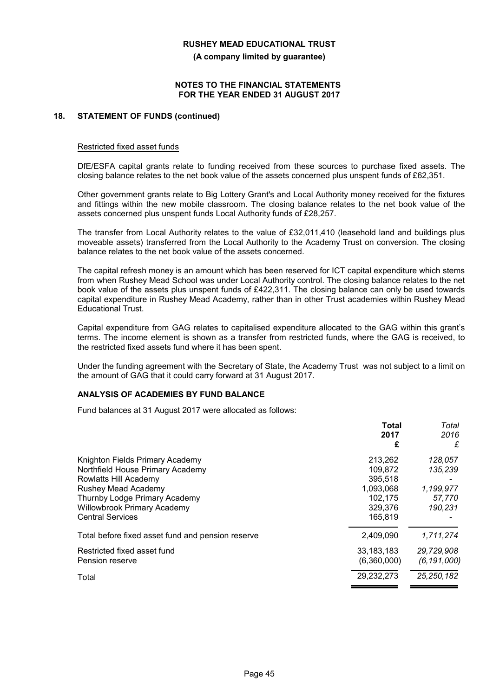**(A company limited by guarantee)**

#### **NOTES TO THE FINANCIAL STATEMENTS FOR THE YEAR ENDED 31 AUGUST 2017**

### **18. STATEMENT OF FUNDS (continued)**

#### Restricted fixed asset funds

DfE/ESFA capital grants relate to funding received from these sources to purchase fixed assets. The closing balance relates to the net book value of the assets concerned plus unspent funds of £62,351.

Other government grants relate to Big Lottery Grant's and Local Authority money received for the fixtures and fittings within the new mobile classroom. The closing balance relates to the net book value of the assets concerned plus unspent funds Local Authority funds of £28,257.

The transfer from Local Authority relates to the value of £32,011,410 (leasehold land and buildings plus moveable assets) transferred from the Local Authority to the Academy Trust on conversion. The closing balance relates to the net book value of the assets concerned.

The capital refresh money is an amount which has been reserved for ICT capital expenditure which stems from when Rushey Mead School was under Local Authority control. The closing balance relates to the net book value of the assets plus unspent funds of £422,311. The closing balance can only be used towards capital expenditure in Rushey Mead Academy, rather than in other Trust academies within Rushey Mead Educational Trust.

Capital expenditure from GAG relates to capitalised expenditure allocated to the GAG within this grant's terms. The income element is shown as a transfer from restricted funds, where the GAG is received, to the restricted fixed assets fund where it has been spent.

Under the funding agreement with the Secretary of State, the Academy Trust was not subject to a limit on the amount of GAG that it could carry forward at 31 August 2017.

## **ANALYSIS OF ACADEMIES BY FUND BALANCE**

Fund balances at 31 August 2017 were allocated as follows:

|                                                   | <b>Total</b><br>2017 | Total<br>2016 |
|---------------------------------------------------|----------------------|---------------|
|                                                   | £                    | £             |
| Knighton Fields Primary Academy                   | 213.262              | 128,057       |
| Northfield House Primary Academy                  | 109.872              | 135,239       |
| Rowlatts Hill Academy                             | 395,518              |               |
| Rushey Mead Academy                               | 1,093,068            | 1,199,977     |
| Thurnby Lodge Primary Academy                     | 102.175              | 57,770        |
| Willowbrook Primary Academy                       | 329,376              | 190,231       |
| <b>Central Services</b>                           | 165,819              |               |
| Total before fixed asset fund and pension reserve | 2,409,090            | 1,711,274     |
| Restricted fixed asset fund                       | 33, 183, 183         | 29,729,908    |
| Pension reserve                                   | (6,360,000)          | (6, 191, 000) |
| Total                                             | 29,232,273           | 25, 250, 182  |
|                                                   |                      |               |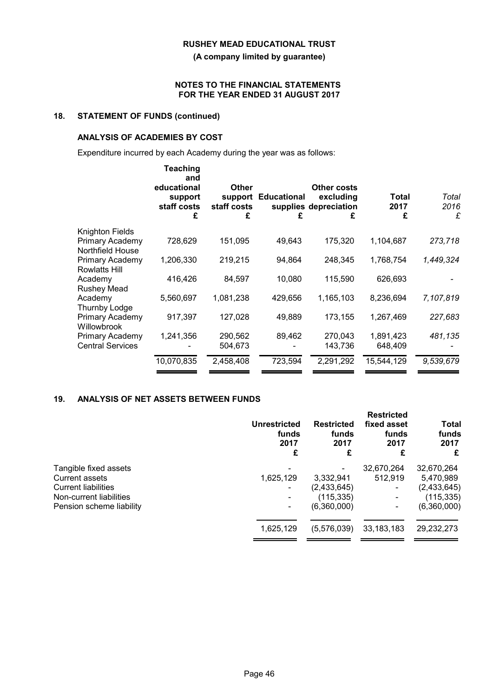**(A company limited by guarantee)**

#### **NOTES TO THE FINANCIAL STATEMENTS FOR THE YEAR ENDED 31 AUGUST 2017**

# **18. STATEMENT OF FUNDS (continued)**

## **ANALYSIS OF ACADEMIES BY COST**

Expenditure incurred by each Academy during the year was as follows:

|                                         | <b>Teaching</b><br>and<br>educational<br>support<br>staff costs<br>£ | Other<br>support<br>staff costs<br>£ | <b>Educational</b><br>£ | Other costs<br>excluding<br>supplies depreciation<br>£ | Total<br>2017<br>£ | Total<br>2016<br>£ |
|-----------------------------------------|----------------------------------------------------------------------|--------------------------------------|-------------------------|--------------------------------------------------------|--------------------|--------------------|
| Knighton Fields                         |                                                                      |                                      |                         |                                                        |                    |                    |
| Primary Academy<br>Northfield House     | 728,629                                                              | 151,095                              | 49,643                  | 175,320                                                | 1,104,687          | 273,718            |
| Primary Academy<br><b>Rowlatts Hill</b> | 1,206,330                                                            | 219,215                              | 94,864                  | 248,345                                                | 1,768,754          | 1,449,324          |
| Academy<br><b>Rushey Mead</b>           | 416,426                                                              | 84,597                               | 10,080                  | 115,590                                                | 626,693            |                    |
| Academy<br>Thurnby Lodge                | 5,560,697                                                            | 1,081,238                            | 429,656                 | 1,165,103                                              | 8,236,694          | 7,107,819          |
| Primary Academy<br>Willowbrook          | 917,397                                                              | 127,028                              | 49,889                  | 173,155                                                | 1,267,469          | 227,683            |
| Primary Academy                         | 1,241,356                                                            | 290,562                              | 89,462                  | 270,043                                                | 1,891,423          | 481,135            |
| <b>Central Services</b>                 |                                                                      | 504,673                              |                         | 143,736                                                | 648,409            |                    |
|                                         | 10,070,835                                                           | 2,458,408                            | 723,594                 | 2,291,292                                              | 15,544,129         | 9,539,679          |

## **19. ANALYSIS OF NET ASSETS BETWEEN FUNDS**

|                            | <b>Unrestricted</b><br>funds<br>2017<br>£ | <b>Restricted</b><br>funds<br>2017<br>£ | <b>Restricted</b><br>fixed asset<br>funds<br>2017<br>£ | Total<br>funds<br>2017<br>£ |
|----------------------------|-------------------------------------------|-----------------------------------------|--------------------------------------------------------|-----------------------------|
| Tangible fixed assets      |                                           |                                         | 32,670,264                                             | 32,670,264                  |
| Current assets             | 1,625,129                                 | 3,332,941                               | 512.919                                                | 5,470,989                   |
| <b>Current liabilities</b> |                                           | (2,433,645)                             |                                                        | (2,433,645)                 |
| Non-current liabilities    | $\overline{\phantom{a}}$                  | (115, 335)                              |                                                        | (115, 335)                  |
| Pension scheme liability   | $\overline{\phantom{a}}$                  | (6,360,000)                             |                                                        | (6,360,000)                 |
|                            | 1,625,129                                 | (5,576,039)                             | 33, 183, 183                                           | 29,232,273                  |
|                            |                                           |                                         |                                                        |                             |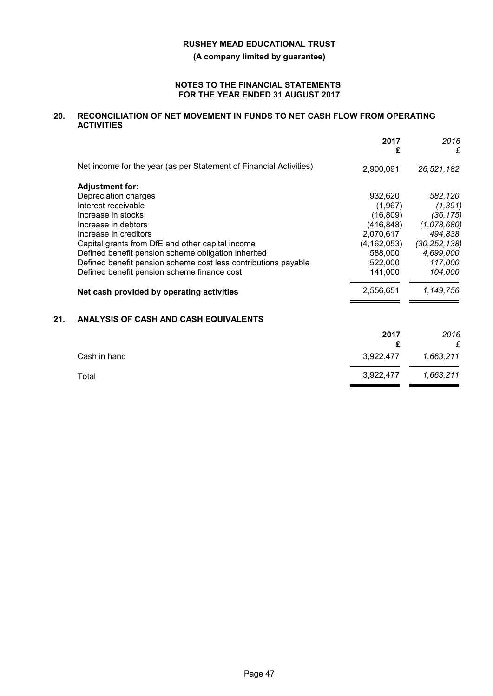**(A company limited by guarantee)**

#### **NOTES TO THE FINANCIAL STATEMENTS FOR THE YEAR ENDED 31 AUGUST 2017**

## **20. RECONCILIATION OF NET MOVEMENT IN FUNDS TO NET CASH FLOW FROM OPERATING ACTIVITIES**

|     |                                                                    | 2017<br>£     | 2016<br>£      |
|-----|--------------------------------------------------------------------|---------------|----------------|
|     | Net income for the year (as per Statement of Financial Activities) | 2,900,091     | 26,521,182     |
|     | <b>Adjustment for:</b>                                             |               |                |
|     | Depreciation charges                                               | 932,620       | 582,120        |
|     | Interest receivable                                                | (1,967)       | (1, 391)       |
|     | Increase in stocks                                                 | (16, 809)     | (36, 175)      |
|     | Increase in debtors                                                | (416, 848)    | (1,078,680)    |
|     | Increase in creditors                                              | 2,070,617     | 494,838        |
|     | Capital grants from DfE and other capital income                   | (4, 162, 053) | (30, 252, 138) |
|     | Defined benefit pension scheme obligation inherited                | 588,000       | 4,699,000      |
|     | Defined benefit pension scheme cost less contributions payable     | 522,000       | 117,000        |
|     | Defined benefit pension scheme finance cost                        | 141,000       | 104,000        |
|     | Net cash provided by operating activities                          | 2,556,651     | 1,149,756      |
| 21. | ANALYSIS OF CASH AND CASH EQUIVALENTS                              |               |                |
|     |                                                                    | 2017          | 2016           |
|     |                                                                    | £             | £              |
|     | Cash in hand                                                       | 3,922,477     | 1,663,211      |
|     | Total                                                              | 3,922,477     | 1,663,211      |
|     |                                                                    |               |                |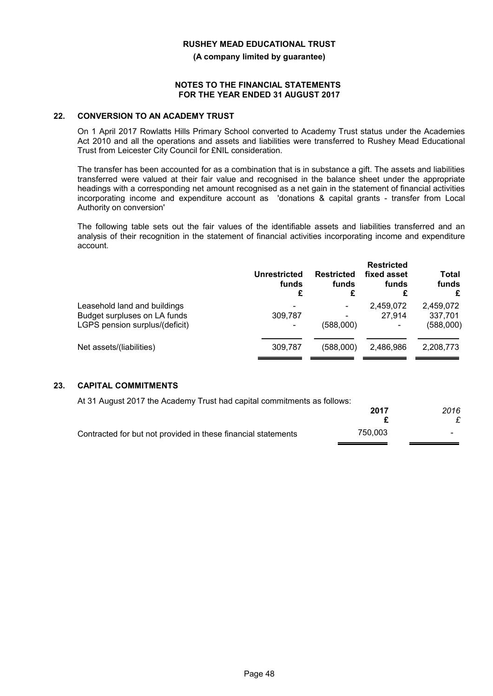**(A company limited by guarantee)**

#### **NOTES TO THE FINANCIAL STATEMENTS FOR THE YEAR ENDED 31 AUGUST 2017**

#### **22. CONVERSION TO AN ACADEMY TRUST**

On 1 April 2017 Rowlatts Hills Primary School converted to Academy Trust status under the Academies Act 2010 and all the operations and assets and liabilities were transferred to Rushey Mead Educational Trust from Leicester City Council for £NIL consideration.

The transfer has been accounted for as a combination that is in substance a gift. The assets and liabilities transferred were valued at their fair value and recognised in the balance sheet under the appropriate headings with a corresponding net amount recognised as a net gain in the statement of financial activities incorporating income and expenditure account as 'donations & capital grants - transfer from Local Authority on conversion'

The following table sets out the fair values of the identifiable assets and liabilities transferred and an analysis of their recognition in the statement of financial activities incorporating income and expenditure account.

|                                                                                                | Unrestricted<br>funds<br>£               | <b>Restricted</b><br>funds<br>£                                   | <b>Restricted</b><br>fixed asset<br>funds<br>£ | Total<br>funds<br>£               |
|------------------------------------------------------------------------------------------------|------------------------------------------|-------------------------------------------------------------------|------------------------------------------------|-----------------------------------|
| Leasehold land and buildings<br>Budget surpluses on LA funds<br>LGPS pension surplus/(deficit) | -<br>309.787<br>$\overline{\phantom{0}}$ | $\overline{\phantom{a}}$<br>$\overline{\phantom{a}}$<br>(588,000) | 2,459,072<br>27.914<br>-                       | 2,459,072<br>337,701<br>(588,000) |
| Net assets/(liabilities)                                                                       | 309,787                                  | (588,000)                                                         | 2,486,986                                      | 2,208,773                         |

## **23. CAPITAL COMMITMENTS**

At 31 August 2017 the Academy Trust had capital commitments as follows:

|                                                               | 2017    | 2016 |
|---------------------------------------------------------------|---------|------|
|                                                               |         |      |
| Contracted for but not provided in these financial statements | 750,003 |      |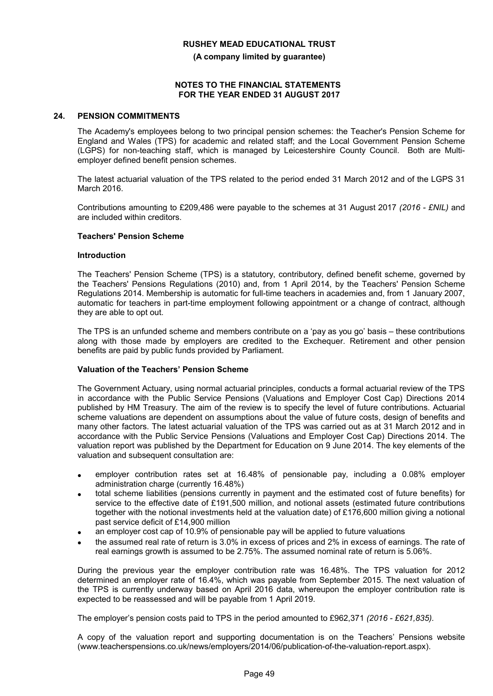**(A company limited by guarantee)**

#### **NOTES TO THE FINANCIAL STATEMENTS FOR THE YEAR ENDED 31 AUGUST 2017**

#### **24. PENSION COMMITMENTS**

The Academy's employees belong to two principal pension schemes: the Teacher's Pension Scheme for England and Wales (TPS) for academic and related staff; and the Local Government Pension Scheme (LGPS) for non-teaching staff, which is managed by Leicestershire County Council. Both are Multiemployer defined benefit pension schemes.

The latest actuarial valuation of the TPS related to the period ended 31 March 2012 and of the LGPS 31 March 2016.

Contributions amounting to £209,486 were payable to the schemes at 31 August 2017 *(2016 - £NIL)* and are included within creditors.

#### **Teachers' Pension Scheme**

#### **Introduction**

The Teachers' Pension Scheme (TPS) is a statutory, contributory, defined benefit scheme, governed by the Teachers' Pensions Regulations (2010) and, from 1 April 2014, by the Teachers' Pension Scheme Regulations 2014. Membership is automatic for full-time teachers in academies and, from 1 January 2007, automatic for teachers in part-time employment following appointment or a change of contract, although they are able to opt out.

The TPS is an unfunded scheme and members contribute on a 'pay as you go' basis – these contributions along with those made by employers are credited to the Exchequer. Retirement and other pension benefits are paid by public funds provided by Parliament.

#### **Valuation of the Teachers' Pension Scheme**

The Government Actuary, using normal actuarial principles, conducts a formal actuarial review of the TPS in accordance with the Public Service Pensions (Valuations and Employer Cost Cap) Directions 2014 published by HM Treasury. The aim of the review is to specify the level of future contributions. Actuarial scheme valuations are dependent on assumptions about the value of future costs, design of benefits and many other factors. The latest actuarial valuation of the TPS was carried out as at 31 March 2012 and in accordance with the Public Service Pensions (Valuations and Employer Cost Cap) Directions 2014. The valuation report was published by the Department for Education on 9 June 2014. The key elements of the valuation and subsequent consultation are:

- employer contribution rates set at 16.48% of pensionable pay, including a 0.08% employer administration charge (currently 16.48%)
- total scheme liabilities (pensions currently in payment and the estimated cost of future benefits) for service to the effective date of £191,500 million, and notional assets (estimated future contributions together with the notional investments held at the valuation date) of £176,600 million giving a notional past service deficit of £14,900 million
- an employer cost cap of 10.9% of pensionable pay will be applied to future valuations
- the assumed real rate of return is 3.0% in excess of prices and 2% in excess of earnings. The rate of real earnings growth is assumed to be 2.75%. The assumed nominal rate of return is 5.06%.

During the previous year the employer contribution rate was 16.48%. The TPS valuation for 2012 determined an employer rate of 16.4%, which was payable from September 2015. The next valuation of the TPS is currently underway based on April 2016 data, whereupon the employer contribution rate is expected to be reassessed and will be payable from 1 April 2019.

The employer's pension costs paid to TPS in the period amounted to £962,371 *(2016 - £621,835).*

A copy of the valuation report and supporting documentation is on the Teachers' Pensions website (www.teacherspensions.co.uk/news/employers/2014/06/publication-of-the-valuation-report.aspx).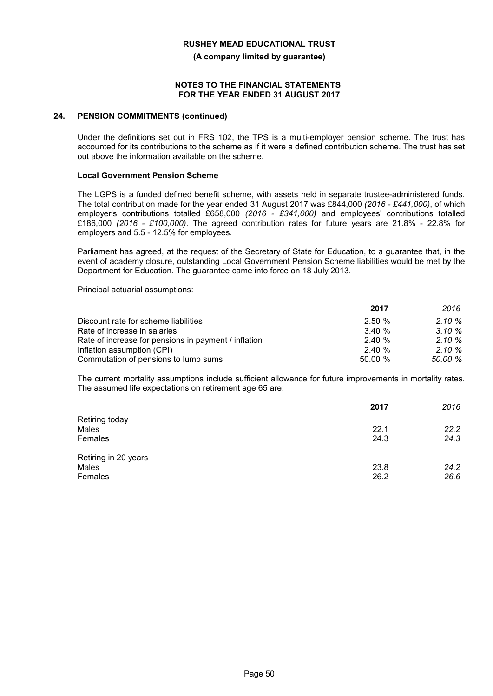**(A company limited by guarantee)**

#### **NOTES TO THE FINANCIAL STATEMENTS FOR THE YEAR ENDED 31 AUGUST 2017**

#### **24. PENSION COMMITMENTS (continued)**

Under the definitions set out in FRS 102, the TPS is a multi-employer pension scheme. The trust has accounted for its contributions to the scheme as if it were a defined contribution scheme. The trust has set out above the information available on the scheme.

#### **Local Government Pension Scheme**

The LGPS is a funded defined benefit scheme, with assets held in separate trustee-administered funds. The total contribution made for the year ended 31 August 2017 was £844,000 *(2016 - £441,000)*, of which employer's contributions totalled £658,000 *(2016 - £341,000)* and employees' contributions totalled £186,000 *(2016 - £100,000)*. The agreed contribution rates for future years are 21.8% - 22.8% for employers and 5.5 - 12.5% for employees.

Parliament has agreed, at the request of the Secretary of State for Education, to a guarantee that, in the event of academy closure, outstanding Local Government Pension Scheme liabilities would be met by the Department for Education. The guarantee came into force on 18 July 2013.

Principal actuarial assumptions:

|                                                      | 2017   | 2016      |
|------------------------------------------------------|--------|-----------|
| Discount rate for scheme liabilities                 | 2.50%  | $2.10 \%$ |
| Rate of increase in salaries                         | 3.40%  | $3.10 \%$ |
| Rate of increase for pensions in payment / inflation | 2.40%  | $2.10 \%$ |
| Inflation assumption (CPI)                           | 2.40%  | $2.10 \%$ |
| Commutation of pensions to lump sums                 | 50.00% | 50.00 %   |

The current mortality assumptions include sufficient allowance for future improvements in mortality rates. The assumed life expectations on retirement age 65 are:

|                                          | 2017         | 2016         |
|------------------------------------------|--------------|--------------|
| Retiring today<br>Males<br>Females       | 22.1<br>24.3 | 22.2<br>24.3 |
| Retiring in 20 years<br>Males<br>Females | 23.8<br>26.2 | 24.2<br>26.6 |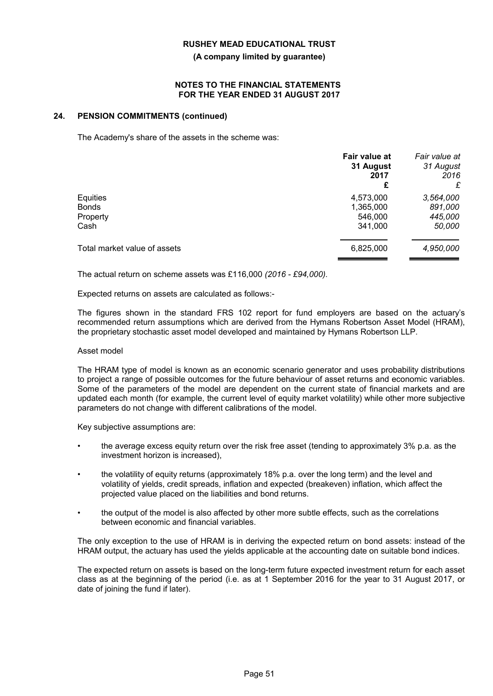#### **(A company limited by guarantee)**

#### **NOTES TO THE FINANCIAL STATEMENTS FOR THE YEAR ENDED 31 AUGUST 2017**

#### **24. PENSION COMMITMENTS (continued)**

The Academy's share of the assets in the scheme was:

|                              | Fair value at<br>31 August<br>2017<br>£ | Fair value at<br>31 August<br>2016<br>£ |
|------------------------------|-----------------------------------------|-----------------------------------------|
| Equities                     | 4,573,000                               | 3,564,000                               |
| <b>Bonds</b>                 | 1,365,000                               | 891,000                                 |
| Property                     | 546,000                                 | 445,000                                 |
| Cash                         | 341,000                                 | 50,000                                  |
| Total market value of assets | 6,825,000                               | 4,950,000                               |

The actual return on scheme assets was £116,000 *(2016 - £94,000).*

Expected returns on assets are calculated as follows:-

The figures shown in the standard FRS 102 report for fund employers are based on the actuary's recommended return assumptions which are derived from the Hymans Robertson Asset Model (HRAM), the proprietary stochastic asset model developed and maintained by Hymans Robertson LLP.

#### Asset model

The HRAM type of model is known as an economic scenario generator and uses probability distributions to project a range of possible outcomes for the future behaviour of asset returns and economic variables. Some of the parameters of the model are dependent on the current state of financial markets and are updated each month (for example, the current level of equity market volatility) while other more subjective parameters do not change with different calibrations of the model.

Key subjective assumptions are:

- the average excess equity return over the risk free asset (tending to approximately 3% p.a. as the investment horizon is increased),
- the volatility of equity returns (approximately 18% p.a. over the long term) and the level and volatility of yields, credit spreads, inflation and expected (breakeven) inflation, which affect the projected value placed on the liabilities and bond returns.
- the output of the model is also affected by other more subtle effects, such as the correlations between economic and financial variables.

The only exception to the use of HRAM is in deriving the expected return on bond assets: instead of the HRAM output, the actuary has used the yields applicable at the accounting date on suitable bond indices.

The expected return on assets is based on the long-term future expected investment return for each asset class as at the beginning of the period (i.e. as at 1 September 2016 for the year to 31 August 2017, or date of joining the fund if later).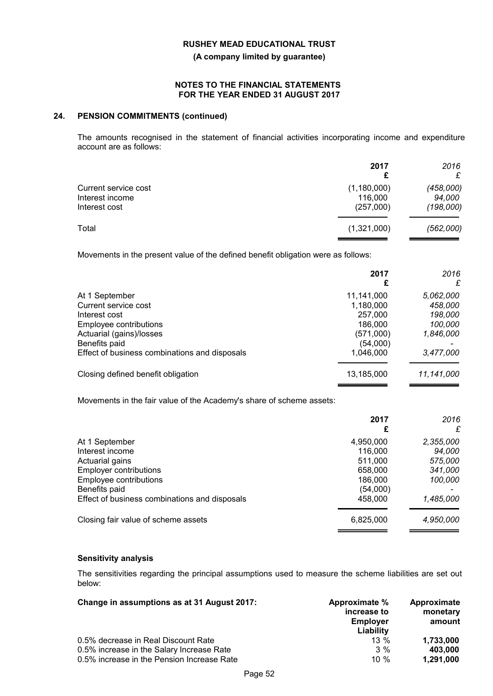**(A company limited by guarantee)**

#### **NOTES TO THE FINANCIAL STATEMENTS FOR THE YEAR ENDED 31 AUGUST 2017**

### **24. PENSION COMMITMENTS (continued)**

The amounts recognised in the statement of financial activities incorporating income and expenditure account are as follows:

|                                                          | 2017<br>£                           | 2016<br>£                        |
|----------------------------------------------------------|-------------------------------------|----------------------------------|
| Current service cost<br>Interest income<br>Interest cost | (1,180,000)<br>116,000<br>(257,000) | (458,000)<br>94,000<br>(198,000) |
| Total                                                    | (1,321,000)                         | (562,000)                        |

Movements in the present value of the defined benefit obligation were as follows:

|                                               | 2017<br>£  | 2016<br>£  |
|-----------------------------------------------|------------|------------|
| At 1 September                                | 11,141,000 | 5,062,000  |
| Current service cost                          | 1,180,000  | 458,000    |
| Interest cost                                 | 257,000    | 198,000    |
| Employee contributions                        | 186,000    | 100,000    |
| Actuarial (gains)/losses                      | (571,000)  | 1,846,000  |
| Benefits paid                                 | (54,000)   |            |
| Effect of business combinations and disposals | 1.046.000  | 3,477,000  |
| Closing defined benefit obligation            | 13,185,000 | 11,141,000 |

Movements in the fair value of the Academy's share of scheme assets:

|                                               | 2017      | 2016      |
|-----------------------------------------------|-----------|-----------|
|                                               | £         | £         |
| At 1 September                                | 4,950,000 | 2,355,000 |
| Interest income                               | 116,000   | 94.000    |
| Actuarial gains                               | 511.000   | 575,000   |
| <b>Employer contributions</b>                 | 658,000   | 341,000   |
| Employee contributions                        | 186,000   | 100,000   |
| Benefits paid                                 | (54,000)  |           |
| Effect of business combinations and disposals | 458,000   | 1,485,000 |
| Closing fair value of scheme assets           | 6,825,000 | 4,950,000 |

## **Sensitivity analysis**

The sensitivities regarding the principal assumptions used to measure the scheme liabilities are set out below:

| Change in assumptions as at 31 August 2017: | Approximate %<br>increase to<br><b>Employer</b><br>Liability | Approximate<br>monetary<br>amount |
|---------------------------------------------|--------------------------------------------------------------|-----------------------------------|
| 0.5% decrease in Real Discount Rate         | $13\%$                                                       | 1,733,000                         |
| 0.5% increase in the Salary Increase Rate   | $3\%$                                                        | 403.000                           |
| 0.5% increase in the Pension Increase Rate  | 10 $%$                                                       | 1,291,000                         |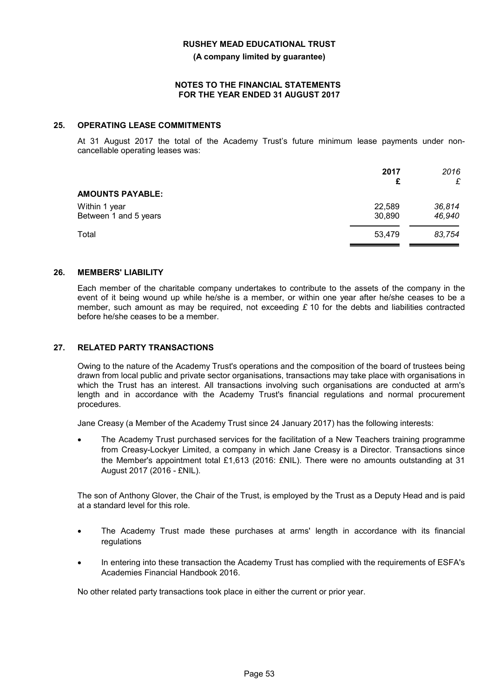**(A company limited by guarantee)**

#### **NOTES TO THE FINANCIAL STATEMENTS FOR THE YEAR ENDED 31 AUGUST 2017**

### **25. OPERATING LEASE COMMITMENTS**

At 31 August 2017 the total of the Academy Trust's future minimum lease payments under noncancellable operating leases was:

|                                        | 2017<br>£        | 2016<br>£        |
|----------------------------------------|------------------|------------------|
| <b>AMOUNTS PAYABLE:</b>                |                  |                  |
| Within 1 year<br>Between 1 and 5 years | 22,589<br>30,890 | 36,814<br>46,940 |
| Total                                  | 53,479           | 83,754           |

### **26. MEMBERS' LIABILITY**

Each member of the charitable company undertakes to contribute to the assets of the company in the event of it being wound up while he/she is a member, or within one year after he/she ceases to be a member, such amount as may be required, not exceeding *£* 10 for the debts and liabilities contracted before he/she ceases to be a member.

### **27. RELATED PARTY TRANSACTIONS**

Owing to the nature of the Academy Trust's operations and the composition of the board of trustees being drawn from local public and private sector organisations, transactions may take place with organisations in which the Trust has an interest. All transactions involving such organisations are conducted at arm's length and in accordance with the Academy Trust's financial regulations and normal procurement procedures.

Jane Creasy (a Member of the Academy Trust since 24 January 2017) has the following interests:

 The Academy Trust purchased services for the facilitation of a New Teachers training programme from Creasy-Lockyer Limited, a company in which Jane Creasy is a Director. Transactions since the Member's appointment total £1,613 (2016: £NIL). There were no amounts outstanding at 31 August 2017 (2016 - £NIL).

The son of Anthony Glover, the Chair of the Trust, is employed by the Trust as a Deputy Head and is paid at a standard level for this role.

- The Academy Trust made these purchases at arms' length in accordance with its financial regulations
- In entering into these transaction the Academy Trust has complied with the requirements of ESFA's Academies Financial Handbook 2016.

No other related party transactions took place in either the current or prior year.